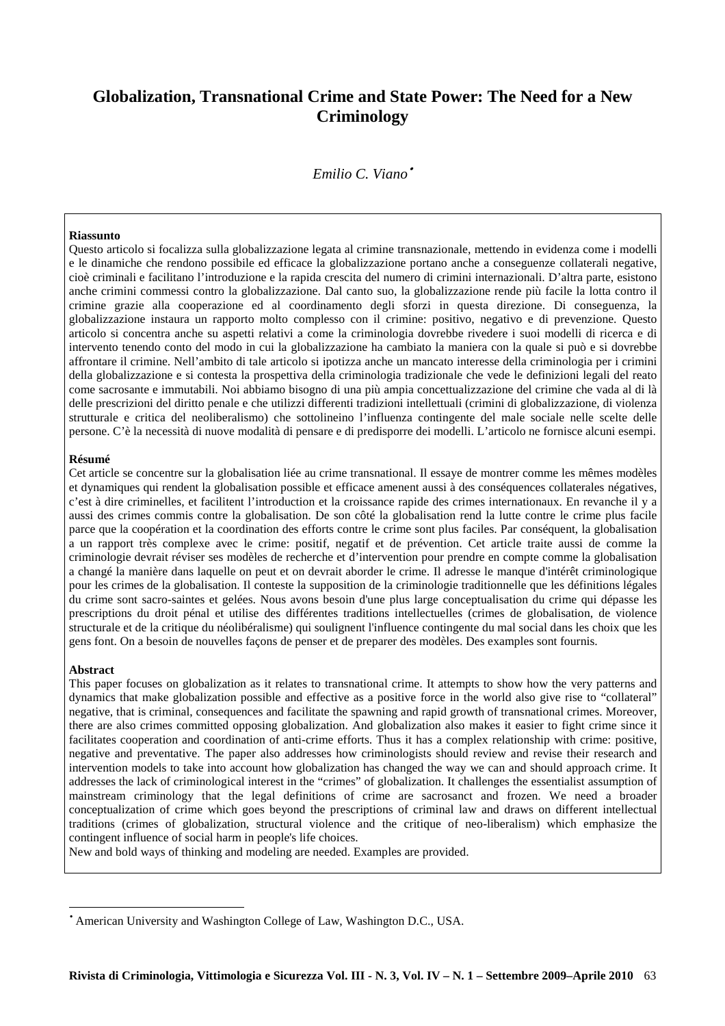# **Globalization, Transnational Crime and State Power: The Need for a New Criminology**

*Emilio C. Viano*•

#### **Riassunto**

Questo articolo si focalizza sulla globalizzazione legata al crimine transnazionale, mettendo in evidenza come i modelli e le dinamiche che rendono possibile ed efficace la globalizzazione portano anche a conseguenze collaterali negative, cioè criminali e facilitano l'introduzione e la rapida crescita del numero di crimini internazionali. D'altra parte, esistono anche crimini commessi contro la globalizzazione. Dal canto suo, la globalizzazione rende più facile la lotta contro il crimine grazie alla cooperazione ed al coordinamento degli sforzi in questa direzione. Di conseguenza, la globalizzazione instaura un rapporto molto complesso con il crimine: positivo, negativo e di prevenzione. Questo articolo si concentra anche su aspetti relativi a come la criminologia dovrebbe rivedere i suoi modelli di ricerca e di intervento tenendo conto del modo in cui la globalizzazione ha cambiato la maniera con la quale si può e si dovrebbe affrontare il crimine. Nell'ambito di tale articolo si ipotizza anche un mancato interesse della criminologia per i crimini della globalizzazione e si contesta la prospettiva della criminologia tradizionale che vede le definizioni legali del reato come sacrosante e immutabili. Noi abbiamo bisogno di una più ampia concettualizzazione del crimine che vada al di là delle prescrizioni del diritto penale e che utilizzi differenti tradizioni intellettuali (crimini di globalizzazione, di violenza strutturale e critica del neoliberalismo) che sottolineino l'influenza contingente del male sociale nelle scelte delle persone. C'è la necessità di nuove modalità di pensare e di predisporre dei modelli. L'articolo ne fornisce alcuni esempi.

#### **Résumé**

Cet article se concentre sur la globalisation liée au crime transnational. Il essaye de montrer comme les mêmes modèles et dynamiques qui rendent la globalisation possible et efficace amenent aussi à des conséquences collaterales négatives, c'est à dire criminelles, et facilitent l'introduction et la croissance rapide des crimes internationaux. En revanche il y a aussi des crimes commis contre la globalisation. De son côté la globalisation rend la lutte contre le crime plus facile parce que la coopération et la coordination des efforts contre le crime sont plus faciles. Par conséquent, la globalisation a un rapport très complexe avec le crime: positif, negatif et de prévention. Cet article traite aussi de comme la criminologie devrait réviser ses modèles de recherche et d'intervention pour prendre en compte comme la globalisation a changé la manière dans laquelle on peut et on devrait aborder le crime. Il adresse le manque d'intérêt criminologique pour les crimes de la globalisation. Il conteste la supposition de la criminologie traditionnelle que les définitions légales du crime sont sacro-saintes et gelées. Nous avons besoin d'une plus large conceptualisation du crime qui dépasse les prescriptions du droit pénal et utilise des différentes traditions intellectuelles (crimes de globalisation, de violence structurale et de la critique du néolibéralisme) qui soulignent l'influence contingente du mal social dans les choix que les gens font. On a besoin de nouvelles façons de penser et de preparer des modèles. Des examples sont fournis.

#### **Abstract**

 $\overline{a}$ 

This paper focuses on globalization as it relates to transnational crime. It attempts to show how the very patterns and dynamics that make globalization possible and effective as a positive force in the world also give rise to "collateral" negative, that is criminal, consequences and facilitate the spawning and rapid growth of transnational crimes. Moreover, there are also crimes committed opposing globalization. And globalization also makes it easier to fight crime since it facilitates cooperation and coordination of anti-crime efforts. Thus it has a complex relationship with crime: positive, negative and preventative. The paper also addresses how criminologists should review and revise their research and intervention models to take into account how globalization has changed the way we can and should approach crime. It addresses the lack of criminological interest in the "crimes" of globalization. It challenges the essentialist assumption of mainstream criminology that the legal definitions of crime are sacrosanct and frozen. We need a broader conceptualization of crime which goes beyond the prescriptions of criminal law and draws on different intellectual traditions (crimes of globalization, structural violence and the critique of neo-liberalism) which emphasize the contingent influence of social harm in people's life choices.

New and bold ways of thinking and modeling are needed. Examples are provided.

<sup>•</sup> American University and Washington College of Law, Washington D.C., USA.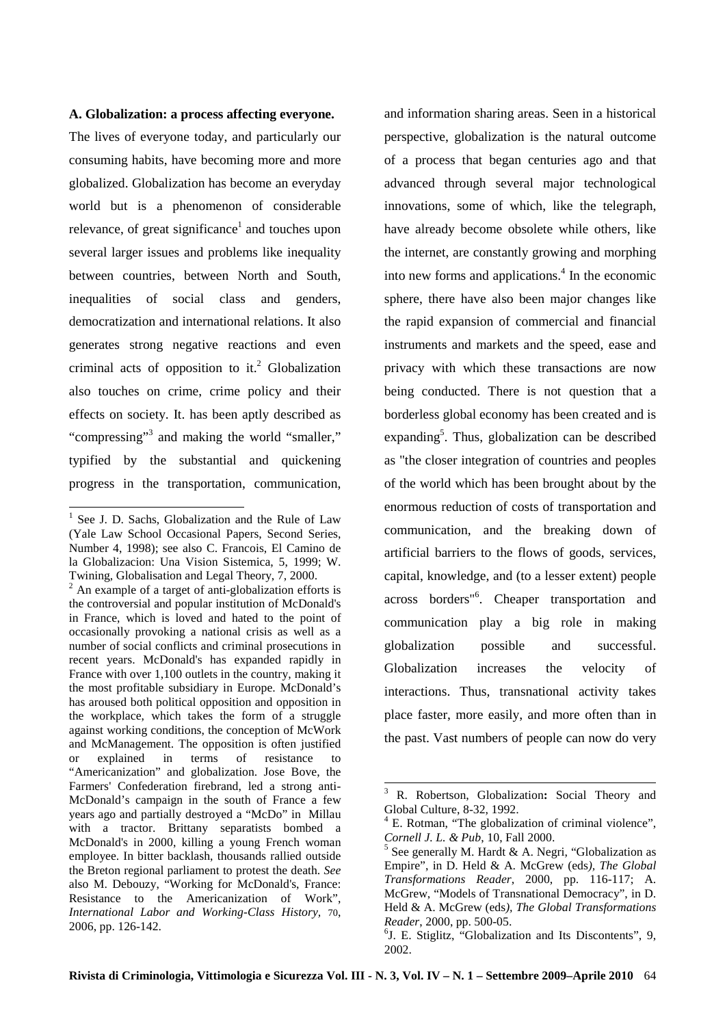## **A. Globalization: a process affecting everyone.**

The lives of everyone today, and particularly our consuming habits, have becoming more and more globalized. Globalization has become an everyday world but is a phenomenon of considerable relevance, of great significance<sup>1</sup> and touches upon several larger issues and problems like inequality between countries, between North and South, inequalities of social class and genders, democratization and international relations. It also generates strong negative reactions and even criminal acts of opposition to it.<sup>2</sup> Globalization also touches on crime, crime policy and their effects on society. It. has been aptly described as "compressing"<sup>3</sup> and making the world "smaller," typified by the substantial and quickening progress in the transportation, communication,

 $2$  An example of a target of anti-globalization efforts is the controversial and popular institution of McDonald's in France, which is loved and hated to the point of occasionally provoking a national crisis as well as a number of social conflicts and criminal prosecutions in recent years. McDonald's has expanded rapidly in France with over 1,100 outlets in the country, making it the most profitable subsidiary in Europe. McDonald's has aroused both political opposition and opposition in the workplace, which takes the form of a struggle against working conditions, the conception of McWork and McManagement. The opposition is often justified or explained in terms of resistance to "Americanization" and globalization. Jose Bove, the Farmers' Confederation firebrand, led a strong anti-McDonald's campaign in the south of France a few years ago and partially destroyed a "McDo" in Millau with a tractor. Brittany separatists bombed a McDonald's in 2000, killing a young French woman employee. In bitter backlash, thousands rallied outside the Breton regional parliament to protest the death. *See* also M. Debouzy, "Working for McDonald's, France: Resistance to the Americanization of Work", *International Labor and Working-Class History,* 70, 2006, pp. 126-142.

and information sharing areas. Seen in a historical perspective, globalization is the natural outcome of a process that began centuries ago and that advanced through several major technological innovations, some of which, like the telegraph, have already become obsolete while others, like the internet, are constantly growing and morphing into new forms and applications.<sup>4</sup> In the economic sphere, there have also been major changes like the rapid expansion of commercial and financial instruments and markets and the speed, ease and privacy with which these transactions are now being conducted. There is not question that a borderless global economy has been created and is expanding<sup>5</sup>. Thus, globalization can be described as "the closer integration of countries and peoples of the world which has been brought about by the enormous reduction of costs of transportation and communication, and the breaking down of artificial barriers to the flows of goods, services, capital, knowledge, and (to a lesser extent) people across borders"<sup>6</sup> . Cheaper transportation and communication play a big role in making globalization possible and successful. Globalization increases the velocity of interactions. Thus, transnational activity takes place faster, more easily, and more often than in the past. Vast numbers of people can now do very

<sup>&</sup>lt;sup>1</sup> See J. D. Sachs, Globalization and the Rule of Law (Yale Law School Occasional Papers, Second Series, Number 4, 1998); see also C. Francois, El Camino de la Globalizacion: Una Vision Sistemica, 5, 1999; W. Twining, Globalisation and Legal Theory, 7, 2000.

<sup>3</sup> R. Robertson, Globalization**:** Social Theory and Global Culture, 8-32, 1992.

<sup>4</sup> E. Rotman, "The globalization of criminal violence", *Cornell J. L. & Pub*, 10, Fall 2000.

 $5$  See generally M. Hardt & A. Negri, "Globalization as Empire", in D. Held & A. McGrew (eds*), The Global Transformations Reader*, 2000, pp. 116-117; A. McGrew, "Models of Transnational Democracy", in D. Held & A. McGrew (eds*), The Global Transformations Reader*, 2000, pp. 500-05.

<sup>6</sup> J. E. Stiglitz, "Globalization and Its Discontents", 9, 2002.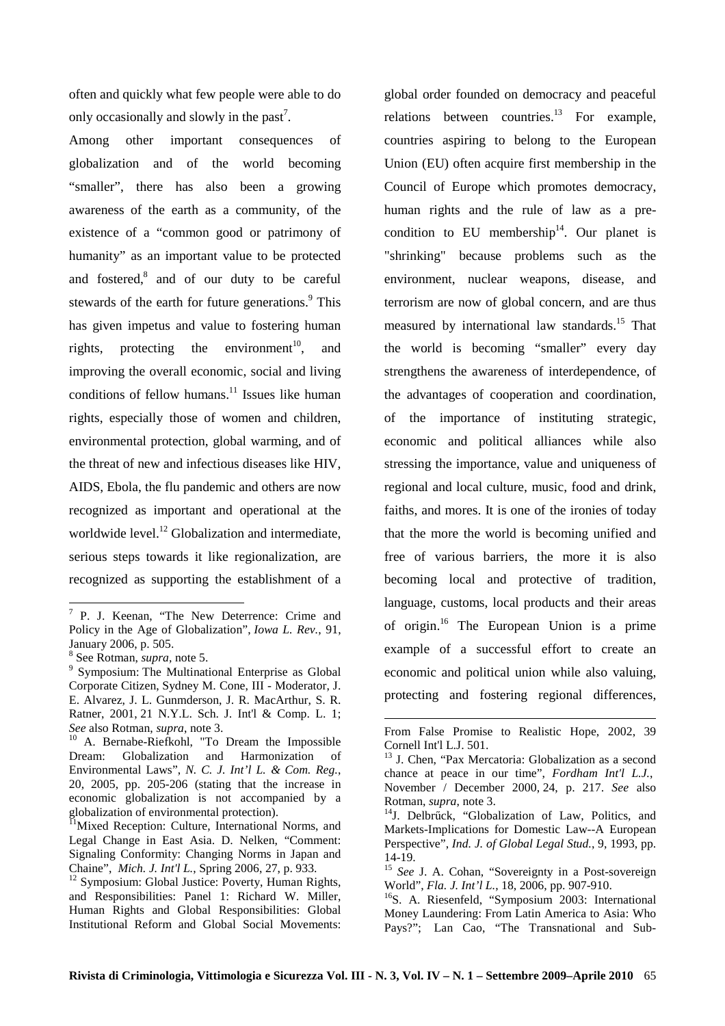often and quickly what few people were able to do only occasionally and slowly in the past<sup>7</sup>.

Among other important consequences of globalization and of the world becoming "smaller", there has also been a growing awareness of the earth as a community, of the existence of a "common good or patrimony of humanity" as an important value to be protected and fostered,<sup>8</sup> and of our duty to be careful stewards of the earth for future generations.<sup>9</sup> This has given impetus and value to fostering human rights, protecting the environment<sup>10</sup>, and improving the overall economic, social and living conditions of fellow humans.<sup>11</sup> Issues like human rights, especially those of women and children, environmental protection, global warming, and of the threat of new and infectious diseases like HIV, AIDS, Ebola, the flu pandemic and others are now recognized as important and operational at the worldwide level. $^{12}$  Globalization and intermediate, serious steps towards it like regionalization, are recognized as supporting the establishment of a

 $\overline{a}$ 

global order founded on democracy and peaceful relations between countries.<sup>13</sup> For example, countries aspiring to belong to the European Union (EU) often acquire first membership in the Council of Europe which promotes democracy, human rights and the rule of law as a precondition to EU membership<sup>14</sup>. Our planet is "shrinking" because problems such as the environment, nuclear weapons, disease, and terrorism are now of global concern, and are thus measured by international law standards.<sup>15</sup> That the world is becoming "smaller" every day strengthens the awareness of interdependence, of the advantages of cooperation and coordination, of the importance of instituting strategic, economic and political alliances while also stressing the importance, value and uniqueness of regional and local culture, music, food and drink, faiths, and mores. It is one of the ironies of today that the more the world is becoming unified and free of various barriers, the more it is also becoming local and protective of tradition, language, customs, local products and their areas of origin.<sup>16</sup> The European Union is a prime example of a successful effort to create an economic and political union while also valuing, protecting and fostering regional differences,

<sup>&</sup>lt;sup>7</sup> P. J. Keenan, "The New Deterrence: Crime and Policy in the Age of Globalization", *Iowa L. Rev.*, 91, January 2006, p. 505.

<sup>8</sup> See Rotman, *supra,* note 5.

<sup>&</sup>lt;sup>9</sup> Symposium: The Multinational Enterprise as Global Corporate Citizen, Sydney M. Cone, III - Moderator, J. E. Alvarez, J. L. Gunmderson, J. R. MacArthur, S. R. Ratner, 2001, 21 N.Y.L. Sch. J. Int'l & Comp. L. 1; *See* also Rotman, *supra*, note 3.

<sup>&</sup>lt;sup>10</sup> A. Bernabe-Riefkohl, "To Dream the Impossible Dream: Globalization and Harmonization of Environmental Laws", *N. C. J. Int'l L. & Com. Reg.*, 20, 2005, pp. 205-206 (stating that the increase in economic globalization is not accompanied by a globalization of environmental protection).

<sup>&</sup>lt;sup>11</sup>Mixed Reception: Culture, International Norms, and Legal Change in East Asia. D. Nelken, "Comment: Signaling Conformity: Changing Norms in Japan and Chaine", *Mich. J. Int'l L.*, Spring 2006, 27, p. 933.

<sup>&</sup>lt;sup>12</sup> Symposium: Global Justice: Poverty, Human Rights, and Responsibilities: Panel 1: Richard W. Miller, Human Rights and Global Responsibilities: Global Institutional Reform and Global Social Movements:

From False Promise to Realistic Hope, 2002, 39 Cornell Int'l L.J. 501.

<sup>&</sup>lt;sup>13</sup> J. Chen, "Pax Mercatoria: Globalization as a second chance at peace in our time", *Fordham Int'l L.J.*, November / December 2000, 24, p. 217. *See* also Rotman, *supra*, note 3.

<sup>&</sup>lt;sup>14</sup>J. Delbrűck, "Globalization of Law, Politics, and Markets-Implications for Domestic Law--A European Perspective", *Ind. J. of Global Legal Stud.*, 9, 1993, pp. 14-19.

<sup>&</sup>lt;sup>15</sup> See J. A. Cohan, "Sovereignty in a Post-sovereign World", *Fla. J. Int'l L.*, 18, 2006, pp. 907-910.

<sup>&</sup>lt;sup>16</sup>S. A. Riesenfeld, "Symposium 2003: International Money Laundering: From Latin America to Asia: Who Pays?"; Lan Cao, "The Transnational and Sub-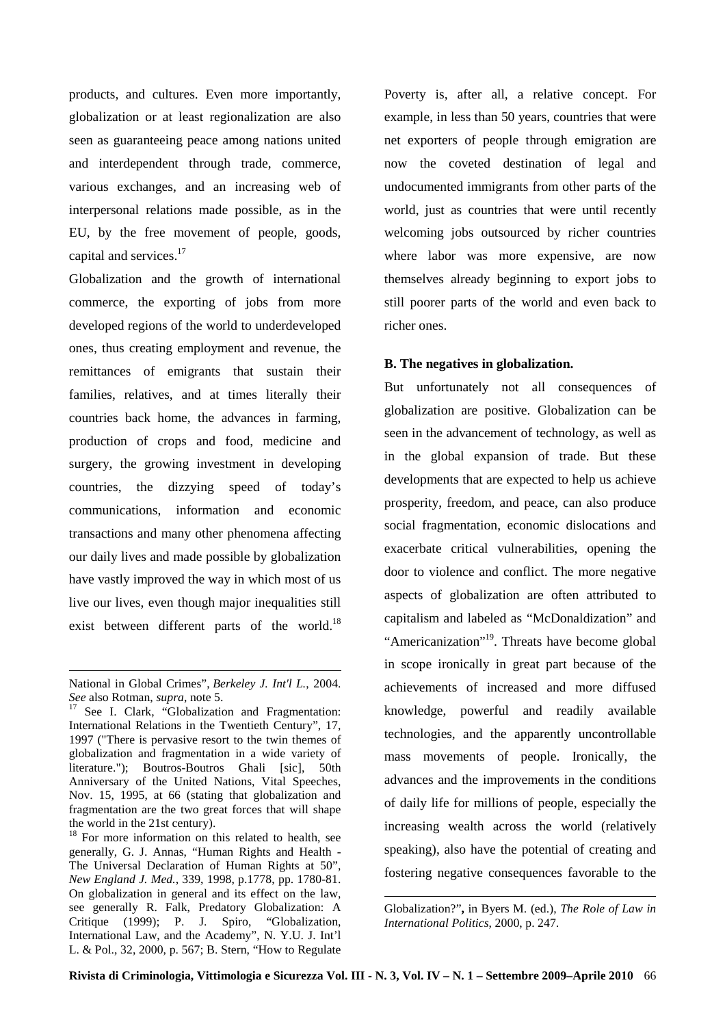products, and cultures. Even more importantly, globalization or at least regionalization are also seen as guaranteeing peace among nations united and interdependent through trade, commerce, various exchanges, and an increasing web of interpersonal relations made possible, as in the EU, by the free movement of people, goods, capital and services.<sup>17</sup>

Globalization and the growth of international commerce, the exporting of jobs from more developed regions of the world to underdeveloped ones, thus creating employment and revenue, the remittances of emigrants that sustain their families, relatives, and at times literally their countries back home, the advances in farming, production of crops and food, medicine and surgery, the growing investment in developing countries, the dizzying speed of today's communications, information and economic transactions and many other phenomena affecting our daily lives and made possible by globalization have vastly improved the way in which most of us live our lives, even though major inequalities still exist between different parts of the world.<sup>18</sup>

 $\overline{a}$ 

Poverty is, after all, a relative concept. For example, in less than 50 years, countries that were net exporters of people through emigration are now the coveted destination of legal and undocumented immigrants from other parts of the world, just as countries that were until recently welcoming jobs outsourced by richer countries where labor was more expensive, are now themselves already beginning to export jobs to still poorer parts of the world and even back to richer ones.

### **B. The negatives in globalization.**

But unfortunately not all consequences of globalization are positive. Globalization can be seen in the advancement of technology, as well as in the global expansion of trade. But these developments that are expected to help us achieve prosperity, freedom, and peace, can also produce social fragmentation, economic dislocations and exacerbate critical vulnerabilities, opening the door to violence and conflict. The more negative aspects of globalization are often attributed to capitalism and labeled as "McDonaldization" and "Americanization"<sup>19</sup>. Threats have become global in scope ironically in great part because of the achievements of increased and more diffused knowledge, powerful and readily available technologies, and the apparently uncontrollable mass movements of people. Ironically, the advances and the improvements in the conditions of daily life for millions of people, especially the increasing wealth across the world (relatively speaking), also have the potential of creating and fostering negative consequences favorable to the

National in Global Crimes", *Berkeley J. Int'l L.*, 2004. *See* also Rotman, *supra*, note 5.

<sup>&</sup>lt;sup>17</sup> See I. Clark, "Globalization and Fragmentation: International Relations in the Twentieth Century", 17, 1997 ("There is pervasive resort to the twin themes of globalization and fragmentation in a wide variety of literature."); Boutros-Boutros Ghali [sic], 50th Anniversary of the United Nations, Vital Speeches, Nov. 15, 1995, at 66 (stating that globalization and fragmentation are the two great forces that will shape the world in the 21st century).

<sup>&</sup>lt;sup>18</sup> For more information on this related to health, see generally, G. J. Annas, "Human Rights and Health - The Universal Declaration of Human Rights at 50", *New England J. Med.*, 339, 1998, p.1778, pp. 1780-81. On globalization in general and its effect on the law, see generally R. Falk, Predatory Globalization: A Critique (1999); P. J. Spiro, "Globalization, International Law, and the Academy", N. Y.U. J. Int'l L. & Pol., 32, 2000, p. 567; B. Stern, "How to Regulate

Globalization?"**,** in Byers M. (ed.), *The Role of Law in International Politics*, 2000, p. 247.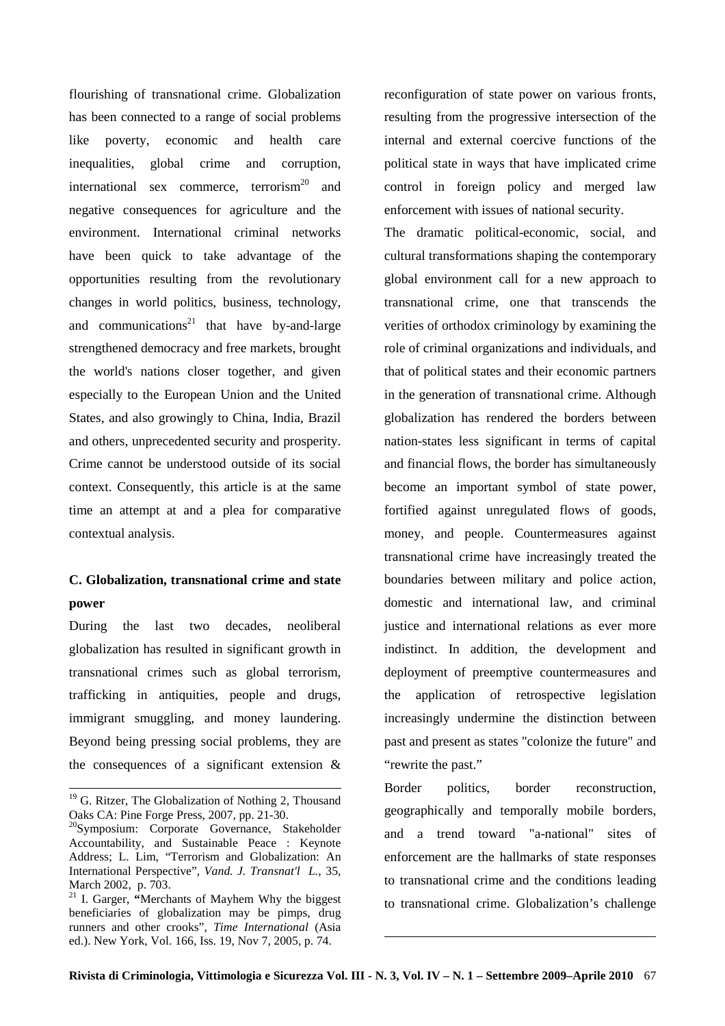flourishing of transnational crime. Globalization has been connected to a range of social problems like poverty, economic and health care inequalities, global crime and corruption, international sex commerce, terrorism $^{20}$  and negative consequences for agriculture and the environment. International criminal networks have been quick to take advantage of the opportunities resulting from the revolutionary changes in world politics, business, technology, and communications<sup>21</sup> that have by-and-large strengthened democracy and free markets, brought the world's nations closer together, and given especially to the European Union and the United States, and also growingly to China, India, Brazil and others, unprecedented security and prosperity. Crime cannot be understood outside of its social context. Consequently, this article is at the same time an attempt at and a plea for comparative contextual analysis.

## **C. Globalization, transnational crime and state power**

During the last two decades, neoliberal globalization has resulted in significant growth in transnational crimes such as global terrorism, trafficking in antiquities, people and drugs, immigrant smuggling, and money laundering. Beyond being pressing social problems, they are the consequences of a significant extension  $\&$ 

 $\overline{a}$ 

reconfiguration of state power on various fronts, resulting from the progressive intersection of the internal and external coercive functions of the political state in ways that have implicated crime control in foreign policy and merged law enforcement with issues of national security.

The dramatic political-economic, social, and cultural transformations shaping the contemporary global environment call for a new approach to transnational crime, one that transcends the verities of orthodox criminology by examining the role of criminal organizations and individuals, and that of political states and their economic partners in the generation of transnational crime. Although globalization has rendered the borders between nation-states less significant in terms of capital and financial flows, the border has simultaneously become an important symbol of state power, fortified against unregulated flows of goods, money, and people. Countermeasures against transnational crime have increasingly treated the boundaries between military and police action, domestic and international law, and criminal justice and international relations as ever more indistinct. In addition, the development and deployment of preemptive countermeasures and the application of retrospective legislation increasingly undermine the distinction between past and present as states "colonize the future" and "rewrite the past."

Border politics, border reconstruction, geographically and temporally mobile borders, and a trend toward "a-national" sites of enforcement are the hallmarks of state responses to transnational crime and the conditions leading to transnational crime. Globalization's challenge

<sup>19</sup> G. Ritzer, The Globalization of Nothing 2*,* Thousand Oaks CA: Pine Forge Press, 2007, pp. 21-30.

<sup>&</sup>lt;sup>20</sup>Symposium: Corporate Governance, Stakeholder Accountability, and Sustainable Peace : Keynote Address; L. Lim, "Terrorism and Globalization: An International Perspective", *Vand. J. Transnat'l L.*, 35, March 2002, p. 703.

<sup>21</sup> I. Garger, **"**Merchants of Mayhem Why the biggest beneficiaries of globalization may be pimps, drug runners and other crooks", *Time International* (Asia ed.). New York, Vol. 166, Iss. 19, Nov 7, 2005, p. 74.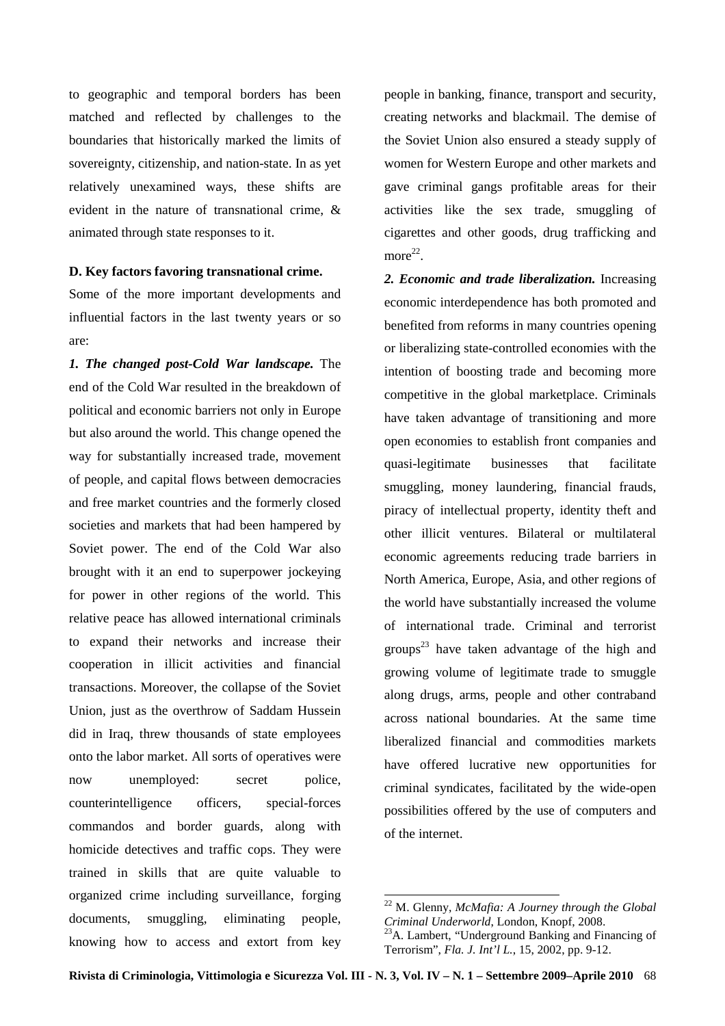to geographic and temporal borders has been matched and reflected by challenges to the boundaries that historically marked the limits of sovereignty, citizenship, and nation-state. In as yet relatively unexamined ways, these shifts are evident in the nature of transnational crime, & animated through state responses to it.

### **D. Key factors favoring transnational crime.**

Some of the more important developments and influential factors in the last twenty years or so are:

*1. The changed post-Cold War landscape.* The end of the Cold War resulted in the breakdown of political and economic barriers not only in Europe but also around the world. This change opened the way for substantially increased trade, movement of people, and capital flows between democracies and free market countries and the formerly closed societies and markets that had been hampered by Soviet power. The end of the Cold War also brought with it an end to superpower jockeying for power in other regions of the world. This relative peace has allowed international criminals to expand their networks and increase their cooperation in illicit activities and financial transactions. Moreover, the collapse of the Soviet Union, just as the overthrow of Saddam Hussein did in Iraq, threw thousands of state employees onto the labor market. All sorts of operatives were now unemployed: secret police, counterintelligence officers, special-forces commandos and border guards, along with homicide detectives and traffic cops. They were trained in skills that are quite valuable to organized crime including surveillance, forging documents, smuggling, eliminating people, knowing how to access and extort from key

people in banking, finance, transport and security, creating networks and blackmail. The demise of the Soviet Union also ensured a steady supply of women for Western Europe and other markets and gave criminal gangs profitable areas for their activities like the sex trade, smuggling of cigarettes and other goods, drug trafficking and  $more^{22}$ .

*2. Economic and trade liberalization.* Increasing economic interdependence has both promoted and benefited from reforms in many countries opening or liberalizing state-controlled economies with the intention of boosting trade and becoming more competitive in the global marketplace. Criminals have taken advantage of transitioning and more open economies to establish front companies and quasi-legitimate businesses that facilitate smuggling, money laundering, financial frauds, piracy of intellectual property, identity theft and other illicit ventures. Bilateral or multilateral economic agreements reducing trade barriers in North America, Europe, Asia, and other regions of the world have substantially increased the volume of international trade. Criminal and terrorist groups<sup>23</sup> have taken advantage of the high and growing volume of legitimate trade to smuggle along drugs, arms, people and other contraband across national boundaries. At the same time liberalized financial and commodities markets have offered lucrative new opportunities for criminal syndicates, facilitated by the wide-open possibilities offered by the use of computers and of the internet.

<sup>22</sup> M. Glenny, *McMafia: A Journey through the Global Criminal Underworld*, London, Knopf, 2008.

<sup>23</sup>A. Lambert, "Underground Banking and Financing of Terrorism", *Fla. J. Int'l L.*, 15, 2002, pp. 9-12.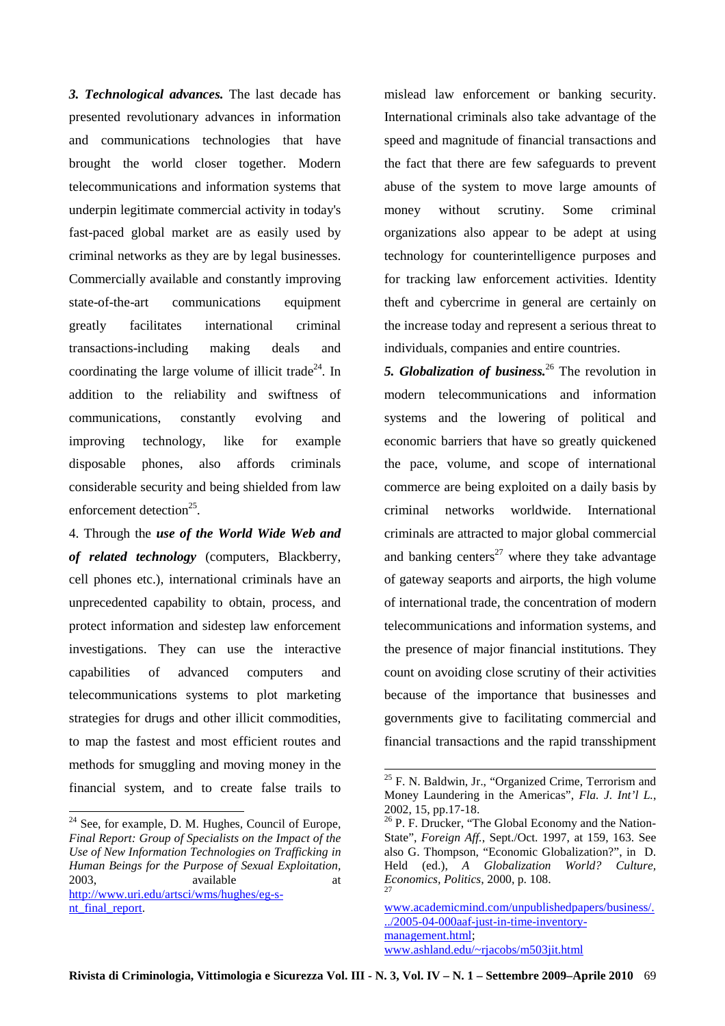*3. Technological advances.* The last decade has presented revolutionary advances in information and communications technologies that have brought the world closer together. Modern telecommunications and information systems that underpin legitimate commercial activity in today's fast-paced global market are as easily used by criminal networks as they are by legal businesses. Commercially available and constantly improving state-of-the-art communications equipment greatly facilitates international criminal transactions-including making deals and coordinating the large volume of illicit trade<sup>24</sup>. In addition to the reliability and swiftness of communications, constantly evolving and improving technology, like for example disposable phones, also affords criminals considerable security and being shielded from law enforcement detection<sup>25</sup>.

4. Through the *use of the World Wide Web and of related technology* (computers, Blackberry, cell phones etc.), international criminals have an unprecedented capability to obtain, process, and protect information and sidestep law enforcement investigations. They can use the interactive capabilities of advanced computers and telecommunications systems to plot marketing strategies for drugs and other illicit commodities, to map the fastest and most efficient routes and methods for smuggling and moving money in the financial system, and to create false trails to

 $\overline{a}$ 

mislead law enforcement or banking security. International criminals also take advantage of the speed and magnitude of financial transactions and the fact that there are few safeguards to prevent abuse of the system to move large amounts of money without scrutiny. Some criminal organizations also appear to be adept at using technology for counterintelligence purposes and for tracking law enforcement activities. Identity theft and cybercrime in general are certainly on the increase today and represent a serious threat to individuals, companies and entire countries.

*5. Globalization of business.*<sup>26</sup> The revolution in modern telecommunications and information systems and the lowering of political and economic barriers that have so greatly quickened the pace, volume, and scope of international commerce are being exploited on a daily basis by criminal networks worldwide. International criminals are attracted to major global commercial and banking centers<sup>27</sup> where they take advantage of gateway seaports and airports, the high volume of international trade, the concentration of modern telecommunications and information systems, and the presence of major financial institutions. They count on avoiding close scrutiny of their activities because of the importance that businesses and governments give to facilitating commercial and financial transactions and the rapid transshipment

 $24$  See, for example, D. M. Hughes, Council of Europe, *Final Report: Group of Specialists on the Impact of the Use of New Information Technologies on Trafficking in Human Beings for the Purpose of Sexual Exploitation,* 2003. available at a state at a state at a state and a state at a state at a state at a state at a state at a state at a state at a state at a state at a state at a state at a state at a state at a state at a state at a st http://www.uri.edu/artsci/wms/hughes/eg-snt\_final\_report.

 $25$  F. N. Baldwin, Jr., "Organized Crime, Terrorism and Money Laundering in the Americas", *Fla. J. Int'l L.*, 2002, 15, pp.17-18.

 $26$  P. F. Drucker, "The Global Economy and the Nation-State", *Foreign Aff.*, Sept./Oct. 1997, at 159, 163. See also G. Thompson, "Economic Globalization?", in D. Held (ed.), *A Globalization World? Culture, Economics, Politics*, 2000, p. 108. 27

www.academicmind.com/unpublishedpapers/business/. ../2005-04-000aaf-just-in-time-inventorymanagement.html; www.ashland.edu/~rjacobs/m503jit.html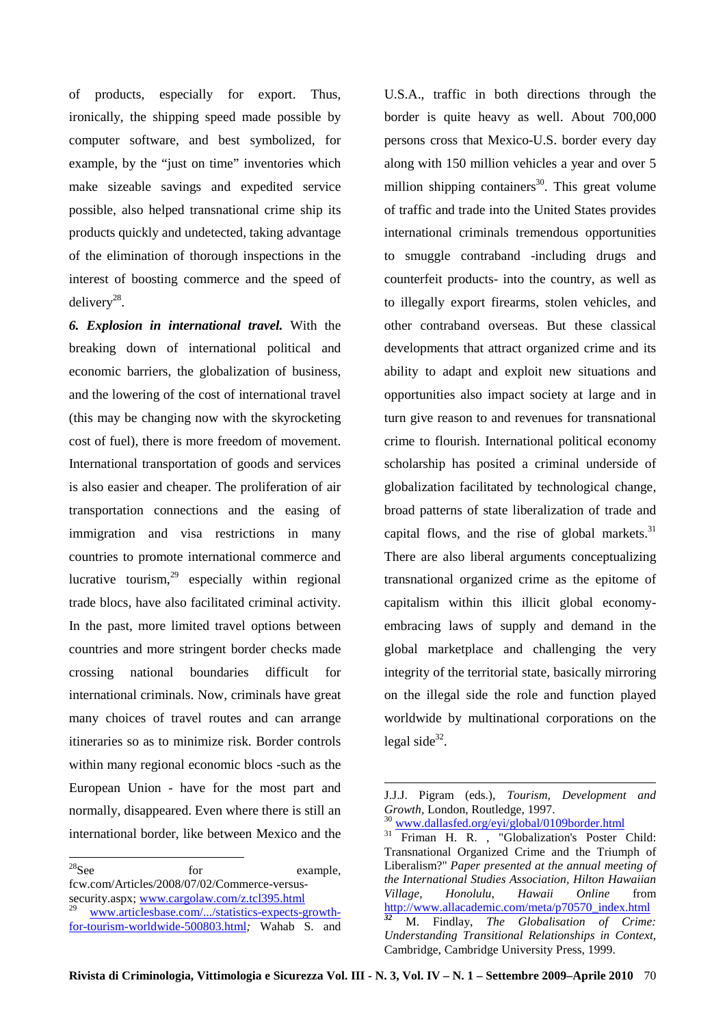of products, especially for export. Thus, ironically, the shipping speed made possible by computer software, and best symbolized, for example, by the "just on time" inventories which make sizeable savings and expedited service possible, also helped transnational crime ship its products quickly and undetected, taking advantage of the elimination of thorough inspections in the interest of boosting commerce and the speed of delivery<sup>28</sup>.

*6. Explosion in international travel.* With the breaking down of international political and economic barriers, the globalization of business, and the lowering of the cost of international travel (this may be changing now with the skyrocketing cost of fuel), there is more freedom of movement. International transportation of goods and services is also easier and cheaper. The proliferation of air transportation connections and the easing of immigration and visa restrictions in many countries to promote international commerce and lucrative tourism, $^{29}$  especially within regional trade blocs, have also facilitated criminal activity. In the past, more limited travel options between countries and more stringent border checks made crossing national boundaries difficult for international criminals. Now, criminals have great many choices of travel routes and can arrange itineraries so as to minimize risk. Border controls within many regional economic blocs -such as the European Union - have for the most part and normally, disappeared. Even where there is still an international border, like between Mexico and the

 $28$ See for example, fcw.com/Articles/2008/07/02/Commerce-versussecurity.aspx; www.cargolaw.com/z.tcl395.html<br>29 www.articlesbase.com/.../statistics-expects-growthfor-tourism-worldwide-500803.html*;* Wahab S. and U.S.A., traffic in both directions through the border is quite heavy as well. About 700,000 persons cross that Mexico-U.S. border every day along with 150 million vehicles a year and over 5 million shipping containers<sup>30</sup>. This great volume of traffic and trade into the United States provides international criminals tremendous opportunities to smuggle contraband -including drugs and counterfeit products- into the country, as well as to illegally export firearms, stolen vehicles, and other contraband overseas. But these classical developments that attract organized crime and its ability to adapt and exploit new situations and opportunities also impact society at large and in turn give reason to and revenues for transnational crime to flourish. International political economy scholarship has posited a criminal underside of globalization facilitated by technological change, broad patterns of state liberalization of trade and capital flows, and the rise of global markets. $31$ There are also liberal arguments conceptualizing transnational organized crime as the epitome of capitalism within this illicit global economyembracing laws of supply and demand in the global marketplace and challenging the very integrity of the territorial state, basically mirroring on the illegal side the role and function played worldwide by multinational corporations on the  $legal side<sup>32</sup>$ .

J.J.J. Pigram (eds.), *Tourism, Development and Growth,* London, Routledge, 1997. <sup>30</sup> www.dallasfed.org/eyi/global/0109border.html

<sup>&</sup>lt;sup>31</sup> Friman H. R., "Globalization's Poster Child: Transnational Organized Crime and the Triumph of Liberalism?" *Paper presented at the annual meeting of the International Studies Association, Hilton Hawaiian Village, Honolulu, Hawaii Online* from http://www.allacademic.com/meta/p70570\_index.html *<sup>32</sup>* M. Findlay, *The Globalisation of Crime: Understanding Transitional Relationships in Context,* Cambridge, Cambridge University Press, 1999.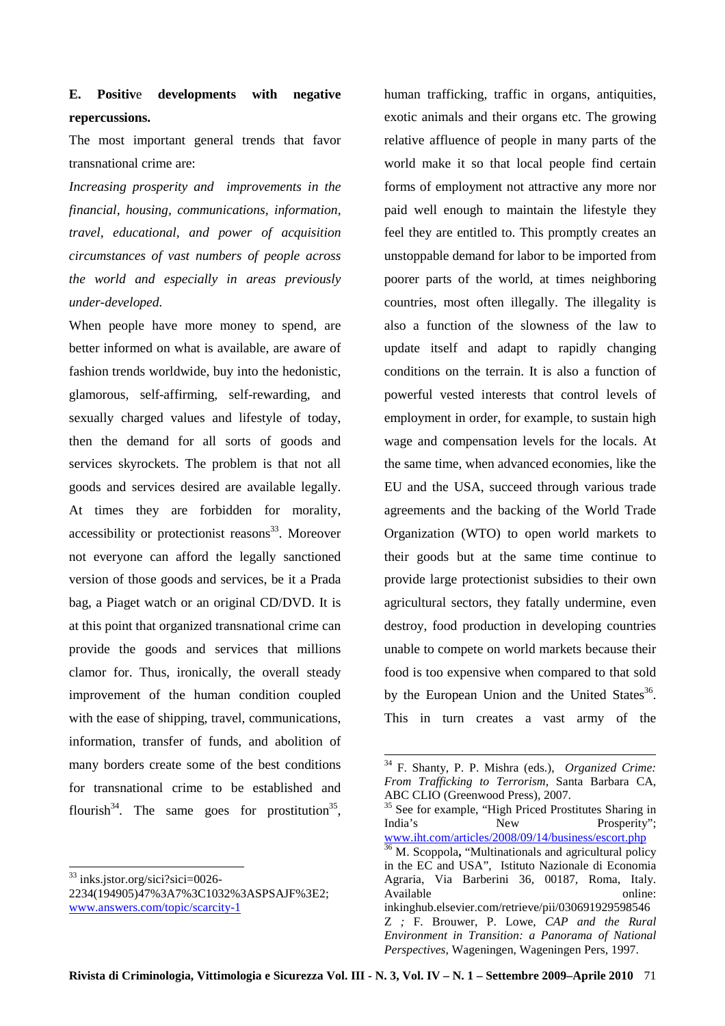# **E. Positiv**e **developments with negative repercussions.**

The most important general trends that favor transnational crime are:

*Increasing prosperity and improvements in the financial, housing, communications, information, travel, educational, and power of acquisition circumstances of vast numbers of people across the world and especially in areas previously under-developed.*

When people have more money to spend, are better informed on what is available, are aware of fashion trends worldwide, buy into the hedonistic, glamorous, self-affirming, self-rewarding, and sexually charged values and lifestyle of today, then the demand for all sorts of goods and services skyrockets. The problem is that not all goods and services desired are available legally. At times they are forbidden for morality,  $accessibility$  or protectionist reasons<sup>33</sup>. Moreover not everyone can afford the legally sanctioned version of those goods and services, be it a Prada bag, a Piaget watch or an original CD/DVD. It is at this point that organized transnational crime can provide the goods and services that millions clamor for. Thus, ironically, the overall steady improvement of the human condition coupled with the ease of shipping, travel, communications, information, transfer of funds, and abolition of many borders create some of the best conditions for transnational crime to be established and flourish<sup>34</sup>. The same goes for prostitution<sup>35</sup>,

 $\overline{a}$ 

human trafficking, traffic in organs, antiquities, exotic animals and their organs etc. The growing relative affluence of people in many parts of the world make it so that local people find certain forms of employment not attractive any more nor paid well enough to maintain the lifestyle they feel they are entitled to. This promptly creates an unstoppable demand for labor to be imported from poorer parts of the world, at times neighboring countries, most often illegally. The illegality is also a function of the slowness of the law to update itself and adapt to rapidly changing conditions on the terrain. It is also a function of powerful vested interests that control levels of employment in order, for example, to sustain high wage and compensation levels for the locals. At the same time, when advanced economies, like the EU and the USA, succeed through various trade agreements and the backing of the World Trade Organization (WTO) to open world markets to their goods but at the same time continue to provide large protectionist subsidies to their own agricultural sectors, they fatally undermine, even destroy, food production in developing countries unable to compete on world markets because their food is too expensive when compared to that sold by the European Union and the United States<sup>36</sup>. This in turn creates a vast army of the

*Perspectives,* Wageningen, Wageningen Pers, 1997.

 $33$  inks.jstor.org/sici?sici=0026-

<sup>2234(194905)47%3</sup>A7%3C1032%3ASPSAJF%3E2; www.answers.com/topic/scarcity-1

<sup>34</sup> F. Shanty, P. P. Mishra (eds.), *Organized Crime: From Trafficking to Terrorism,* Santa Barbara CA, ABC CLIO (Greenwood Press), 2007.

<sup>&</sup>lt;sup>35</sup> See for example, "High Priced Prostitutes Sharing in India's New Prosperity"; www.iht.com/articles/2008/09/14/business/escort.php <sup>36</sup> M. Scoppola**,** "Multinationals and agricultural policy in the EC and USA", Istituto Nazionale di Economia Agraria, Via Barberini 36, 00187, Roma, Italy. Available online: inkinghub.elsevier.com/retrieve/pii/030691929598546 Z *;* F. Brouwer, P. Lowe, *CAP and the Rural Environment in Transition: a Panorama of National*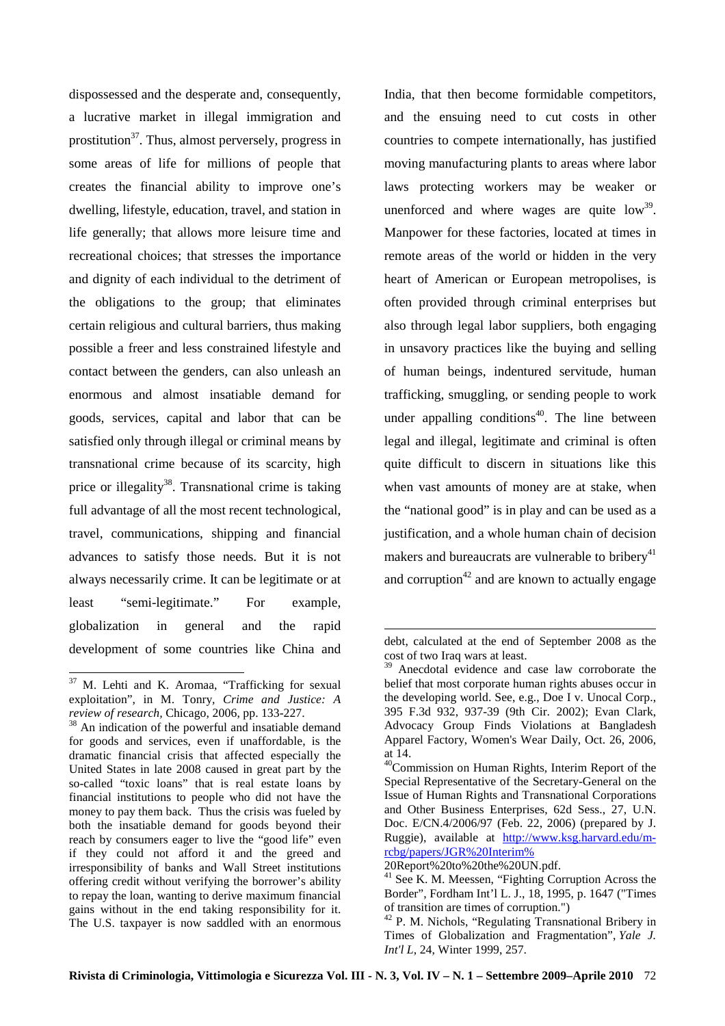dispossessed and the desperate and, consequently, a lucrative market in illegal immigration and prostitution $3^7$ . Thus, almost perversely, progress in some areas of life for millions of people that creates the financial ability to improve one's dwelling, lifestyle, education, travel, and station in life generally; that allows more leisure time and recreational choices; that stresses the importance and dignity of each individual to the detriment of the obligations to the group; that eliminates certain religious and cultural barriers, thus making possible a freer and less constrained lifestyle and contact between the genders, can also unleash an enormous and almost insatiable demand for goods, services, capital and labor that can be satisfied only through illegal or criminal means by transnational crime because of its scarcity, high price or illegality<sup>38</sup>. Transnational crime is taking full advantage of all the most recent technological, travel, communications, shipping and financial advances to satisfy those needs. But it is not always necessarily crime. It can be legitimate or at least "semi-legitimate." For example, globalization in general and the rapid development of some countries like China and

 $\overline{a}$ 

<sup>38</sup> An indication of the powerful and insatiable demand for goods and services, even if unaffordable, is the dramatic financial crisis that affected especially the United States in late 2008 caused in great part by the so-called "toxic loans" that is real estate loans by financial institutions to people who did not have the money to pay them back. Thus the crisis was fueled by both the insatiable demand for goods beyond their reach by consumers eager to live the "good life" even if they could not afford it and the greed and irresponsibility of banks and Wall Street institutions offering credit without verifying the borrower's ability to repay the loan, wanting to derive maximum financial gains without in the end taking responsibility for it. The U.S. taxpayer is now saddled with an enormous

India, that then become formidable competitors, and the ensuing need to cut costs in other countries to compete internationally, has justified moving manufacturing plants to areas where labor laws protecting workers may be weaker or unenforced and where wages are quite  $\text{low}^{39}$ . Manpower for these factories, located at times in remote areas of the world or hidden in the very heart of American or European metropolises, is often provided through criminal enterprises but also through legal labor suppliers, both engaging in unsavory practices like the buying and selling of human beings, indentured servitude, human trafficking, smuggling, or sending people to work under appalling conditions<sup>40</sup>. The line between legal and illegal, legitimate and criminal is often quite difficult to discern in situations like this when vast amounts of money are at stake, when the "national good" is in play and can be used as a justification, and a whole human chain of decision makers and bureaucrats are vulnerable to bribery<sup>41</sup> and corruption<sup>42</sup> and are known to actually engage

 $37$  M. Lehti and K. Aromaa, "Trafficking for sexual exploitation", in M. Tonry*, Crime and Justice: A review of research,* Chicago, 2006, pp. 133-227.

debt, calculated at the end of September 2008 as the cost of two Iraq wars at least.

<sup>&</sup>lt;sup>39</sup> Anecdotal evidence and case law corroborate the belief that most corporate human rights abuses occur in the developing world. See, e.g., Doe I v. Unocal Corp., 395 F.3d 932, 937-39 (9th Cir. 2002); Evan Clark, Advocacy Group Finds Violations at Bangladesh Apparel Factory, Women's Wear Daily, Oct. 26, 2006, at 14.

<sup>40</sup>Commission on Human Rights, Interim Report of the Special Representative of the Secretary-General on the Issue of Human Rights and Transnational Corporations and Other Business Enterprises, 62d Sess., 27, U.N. Doc. E/CN.4/2006/97 (Feb. 22, 2006) (prepared by J. Ruggie), available at http://www.ksg.harvard.edu/mrcbg/papers/JGR%20Interim%

<sup>20</sup>Report%20to%20the%20UN.pdf.

 $^{41}$  See K. M. Meessen, "Fighting Corruption Across the Border", Fordham Int'l L. J., 18, 1995, p. 1647 ("Times of transition are times of corruption.")

<sup>&</sup>lt;sup>42</sup> P. M. Nichols, "Regulating Transnational Bribery in Times of Globalization and Fragmentation", *Yale J. Int'l L*, 24, Winter 1999, 257.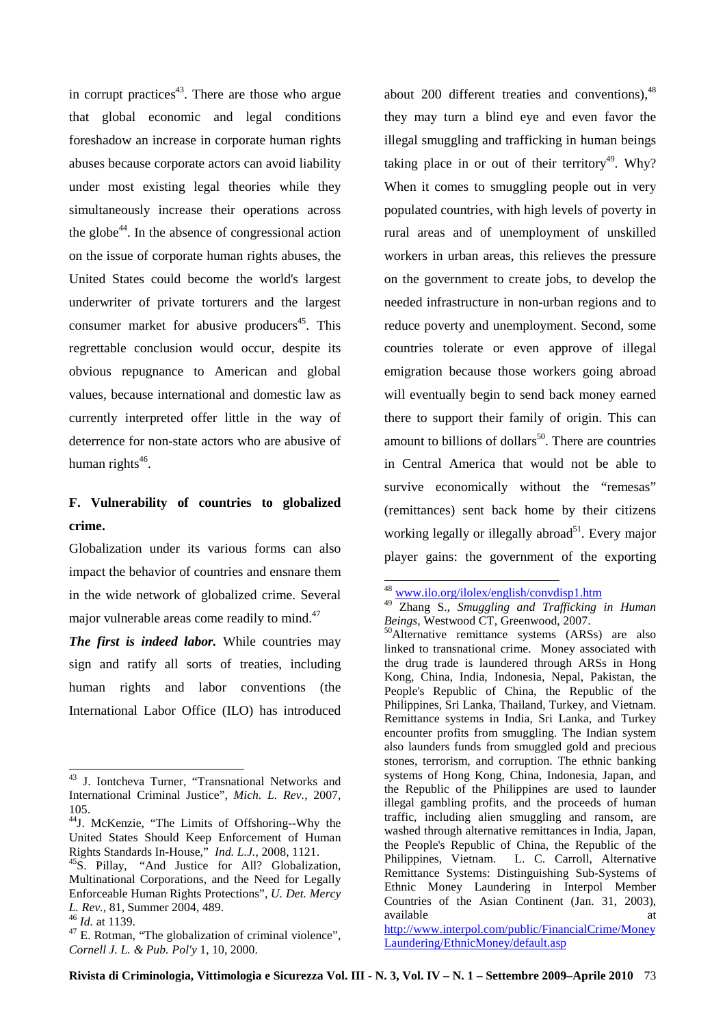in corrupt practices<sup>43</sup>. There are those who argue that global economic and legal conditions foreshadow an increase in corporate human rights abuses because corporate actors can avoid liability under most existing legal theories while they simultaneously increase their operations across the globe<sup>44</sup>. In the absence of congressional action on the issue of corporate human rights abuses, the United States could become the world's largest underwriter of private torturers and the largest consumer market for abusive producers<sup>45</sup>. This regrettable conclusion would occur, despite its obvious repugnance to American and global values, because international and domestic law as currently interpreted offer little in the way of deterrence for non-state actors who are abusive of human rights<sup>46</sup>.

# **F. Vulnerability of countries to globalized crime.**

Globalization under its various forms can also impact the behavior of countries and ensnare them in the wide network of globalized crime. Several major vulnerable areas come readily to mind.<sup>47</sup>

*The first is indeed labor.* While countries may sign and ratify all sorts of treaties, including human rights and labor conventions (the International Labor Office (ILO) has introduced

 $\overline{a}$ 

about 200 different treaties and conventions), $48$ they may turn a blind eye and even favor the illegal smuggling and trafficking in human beings taking place in or out of their territory<sup>49</sup>. Why? When it comes to smuggling people out in very populated countries, with high levels of poverty in rural areas and of unemployment of unskilled workers in urban areas, this relieves the pressure on the government to create jobs, to develop the needed infrastructure in non-urban regions and to reduce poverty and unemployment. Second, some countries tolerate or even approve of illegal emigration because those workers going abroad will eventually begin to send back money earned there to support their family of origin. This can amount to billions of dollars<sup>50</sup>. There are countries in Central America that would not be able to survive economically without the "remesas" (remittances) sent back home by their citizens working legally or illegally abroad<sup>51</sup>. Every major player gains: the government of the exporting

<sup>&</sup>lt;sup>43</sup> J. Iontcheva Turner, "Transnational Networks and International Criminal Justice", *Mich. L. Rev.*, 2007, 105.

<sup>44</sup>J. McKenzie, "The Limits of Offshoring--Why the United States Should Keep Enforcement of Human Rights Standards In-House," *Ind. L.J.*, 2008, 1121.

<sup>&</sup>lt;sup>45</sup>S. Pillay, "And Justice for All? Globalization, Multinational Corporations, and the Need for Legally Enforceable Human Rights Protections", *U. Det. Mercy L. Rev.*, 81, Summer 2004, 489.

<sup>46</sup> *Id.* at 1139.

<sup>&</sup>lt;sup>47</sup> E. Rotman, "The globalization of criminal violence", *Cornell J. L. & Pub. Pol'y* 1, 10, 2000.

 $\overline{a}$ <sup>48</sup> www.ilo.org/ilolex/english/convdisp1.htm

<sup>49</sup> Zhang S., *Smuggling and Trafficking in Human Beings,* Westwood CT, Greenwood, 2007.

<sup>50</sup>Alternative remittance systems (ARSs) are also linked to transnational crime. Money associated with the drug trade is laundered through ARSs in Hong Kong, China, India, Indonesia, Nepal, Pakistan, the People's Republic of China, the Republic of the Philippines, Sri Lanka, Thailand, Turkey, and Vietnam. Remittance systems in India, Sri Lanka, and Turkey encounter profits from smuggling. The Indian system also launders funds from smuggled gold and precious stones, terrorism, and corruption. The ethnic banking systems of Hong Kong, China, Indonesia, Japan, and the Republic of the Philippines are used to launder illegal gambling profits, and the proceeds of human traffic, including alien smuggling and ransom, are washed through alternative remittances in India, Japan, the People's Republic of China, the Republic of the Philippines, Vietnam. L. C. Carroll, Alternative L. C. Carroll, Alternative Remittance Systems: Distinguishing Sub-Systems of Ethnic Money Laundering in Interpol Member Countries of the Asian Continent (Jan. 31, 2003), available at the state of the state at  $\alpha$ http://www.interpol.com/public/FinancialCrime/Money

Laundering/EthnicMoney/default.asp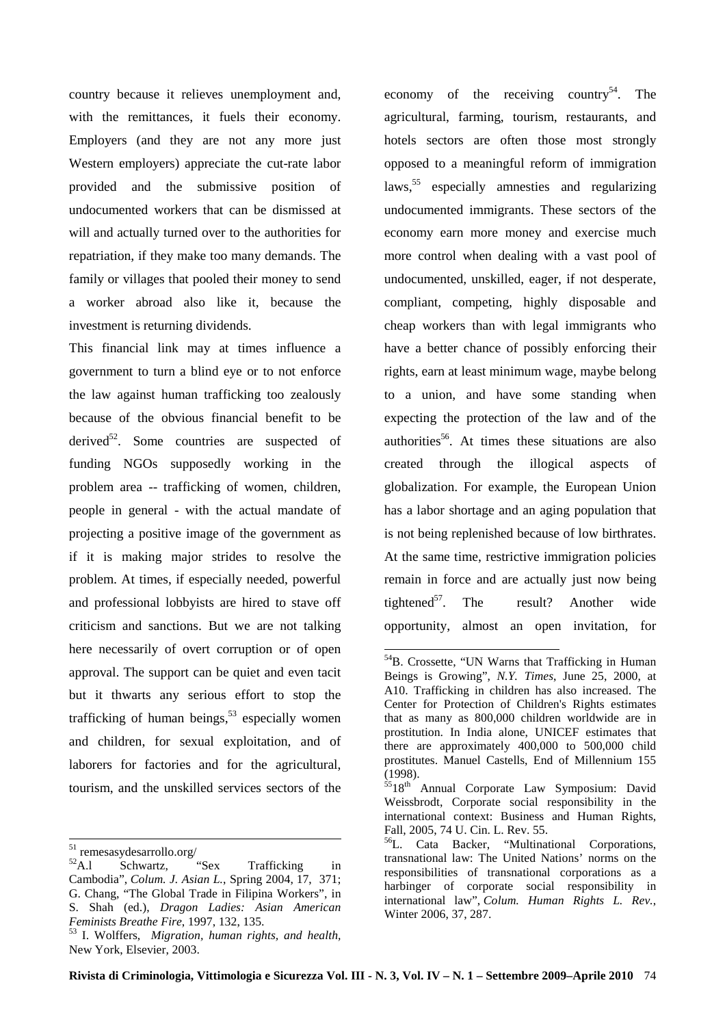country because it relieves unemployment and, with the remittances, it fuels their economy. Employers (and they are not any more just Western employers) appreciate the cut-rate labor provided and the submissive position of undocumented workers that can be dismissed at will and actually turned over to the authorities for repatriation, if they make too many demands. The family or villages that pooled their money to send a worker abroad also like it, because the investment is returning dividends.

This financial link may at times influence a government to turn a blind eye or to not enforce the law against human trafficking too zealously because of the obvious financial benefit to be derived $52$ . Some countries are suspected of funding NGOs supposedly working in the problem area -- trafficking of women, children, people in general - with the actual mandate of projecting a positive image of the government as if it is making major strides to resolve the problem. At times, if especially needed, powerful and professional lobbyists are hired to stave off criticism and sanctions. But we are not talking here necessarily of overt corruption or of open approval. The support can be quiet and even tacit but it thwarts any serious effort to stop the trafficking of human beings,<sup>53</sup> especially women and children, for sexual exploitation, and of laborers for factories and for the agricultural, tourism, and the unskilled services sectors of the

 $\overline{a}$ 

economy of the receiving country<sup>54</sup>. The agricultural, farming, tourism, restaurants, and hotels sectors are often those most strongly opposed to a meaningful reform of immigration laws,<sup>55</sup> especially amnesties and regularizing undocumented immigrants. These sectors of the economy earn more money and exercise much more control when dealing with a vast pool of undocumented, unskilled, eager, if not desperate, compliant, competing, highly disposable and cheap workers than with legal immigrants who have a better chance of possibly enforcing their rights, earn at least minimum wage, maybe belong to a union, and have some standing when expecting the protection of the law and of the authorities<sup>56</sup>. At times these situations are also created through the illogical aspects of globalization. For example, the European Union has a labor shortage and an aging population that is not being replenished because of low birthrates. At the same time, restrictive immigration policies remain in force and are actually just now being tightened<sup>57</sup>. The result? Another wide opportunity, almost an open invitation, for

<sup>&</sup>lt;sup>51</sup> remesasydesarrollo.org/

<sup>&</sup>lt;sup>52</sup>A.l Schwartz, "Sex Trafficking in Cambodia", *Colum. J. Asian L.*, Spring 2004, 17, 371; G. Chang, "The Global Trade in Filipina Workers", in S. Shah (ed.), *Dragon Ladies: Asian American Feminists Breathe Fire*, 1997, 132, 135.

<sup>53</sup> I. Wolffers, *Migration, human rights, and health,* New York, Elsevier, 2003.

<sup>&</sup>lt;sup>54</sup>B. Crossette, "UN Warns that Trafficking in Human Beings is Growing", *N.Y. Times*, June 25, 2000, at A10. Trafficking in children has also increased. The Center for Protection of Children's Rights estimates that as many as 800,000 children worldwide are in prostitution. In India alone, UNICEF estimates that there are approximately 400,000 to 500,000 child prostitutes. Manuel Castells, End of Millennium 155 (1998).

<sup>&</sup>lt;sup>55</sup>18<sup>th</sup> Annual Corporate Law Symposium: David Weissbrodt, Corporate social responsibility in the international context: Business and Human Rights, Fall, 2005, 74 U. Cin. L. Rev. 55.

<sup>56</sup>L. Cata Backer, "Multinational Corporations, transnational law: The United Nations' norms on the responsibilities of transnational corporations as a harbinger of corporate social responsibility in international law", *Colum. Human Rights L. Rev.*, Winter 2006, 37, 287.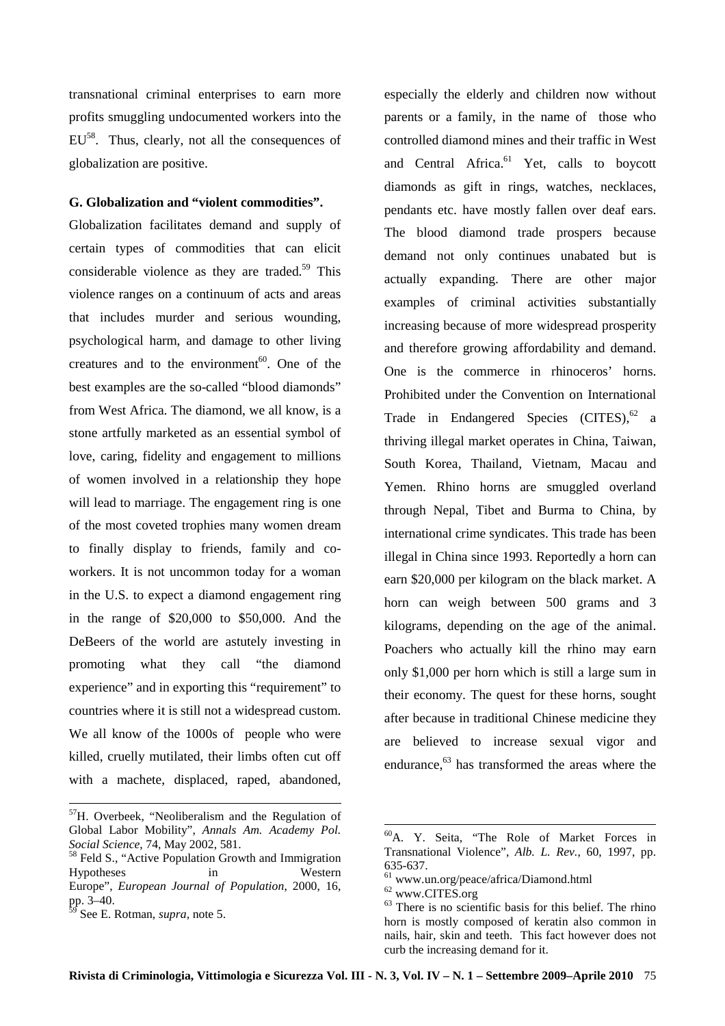transnational criminal enterprises to earn more profits smuggling undocumented workers into the  $EU^{58}$ . Thus, clearly, not all the consequences of globalization are positive.

### **G. Globalization and "violent commodities".**

Globalization facilitates demand and supply of certain types of commodities that can elicit considerable violence as they are traded.<sup>59</sup> This violence ranges on a continuum of acts and areas that includes murder and serious wounding, psychological harm, and damage to other living creatures and to the environment<sup>60</sup>. One of the best examples are the so-called "blood diamonds" from West Africa. The diamond, we all know, is a stone artfully marketed as an essential symbol of love, caring, fidelity and engagement to millions of women involved in a relationship they hope will lead to marriage. The engagement ring is one of the most coveted trophies many women dream to finally display to friends, family and coworkers. It is not uncommon today for a woman in the U.S. to expect a diamond engagement ring in the range of \$20,000 to \$50,000. And the DeBeers of the world are astutely investing in promoting what they call "the diamond experience" and in exporting this "requirement" to countries where it is still not a widespread custom. We all know of the 1000s of people who were killed, cruelly mutilated, their limbs often cut off with a machete, displaced, raped, abandoned,

 $\overline{a}$ 

especially the elderly and children now without parents or a family, in the name of those who controlled diamond mines and their traffic in West and Central Africa.<sup>61</sup> Yet, calls to boycott diamonds as gift in rings, watches, necklaces, pendants etc. have mostly fallen over deaf ears. The blood diamond trade prospers because demand not only continues unabated but is actually expanding. There are other major examples of criminal activities substantially increasing because of more widespread prosperity and therefore growing affordability and demand. One is the commerce in rhinoceros' horns. Prohibited under the Convention on International Trade in Endangered Species  $(CITER)^{62}$  a thriving illegal market operates in China, Taiwan, South Korea, Thailand, Vietnam, Macau and Yemen. Rhino horns are smuggled overland through Nepal, Tibet and Burma to China, by international crime syndicates. This trade has been illegal in China since 1993. Reportedly a horn can earn \$20,000 per kilogram on the black market. A horn can weigh between 500 grams and 3 kilograms, depending on the age of the animal. Poachers who actually kill the rhino may earn only \$1,000 per horn which is still a large sum in their economy. The quest for these horns, sought after because in traditional Chinese medicine they are believed to increase sexual vigor and endurance,<sup>63</sup> has transformed the areas where the

<sup>57</sup>H. Overbeek, "Neoliberalism and the Regulation of Global Labor Mobility", *Annals Am. Academy Pol. Social Science*, 74, May 2002, 581.

<sup>58</sup> Feld S., "Active Population Growth and Immigration Hypotheses in Western Europe", *European Journal of Population*, 2000, 16, pp. 3–40.

<sup>59</sup> See E. Rotman, *supra,* note 5.

<sup>60</sup>A. Y. Seita, "The Role of Market Forces in Transnational Violence", *Alb. L. Rev.*, 60, 1997, pp. 635-637.

<sup>61</sup> www.un.org/peace/africa/Diamond.html

<sup>62</sup> www.CITES.org

 $63$  There is no scientific basis for this belief. The rhino horn is mostly composed of keratin also common in nails, hair, skin and teeth. This fact however does not curb the increasing demand for it.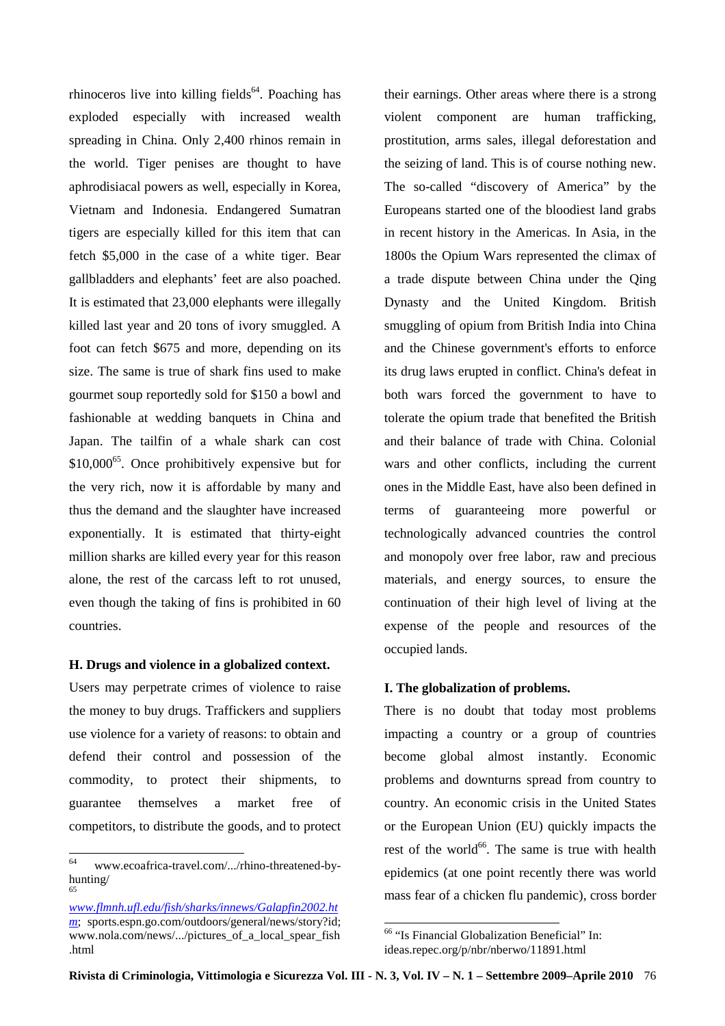rhinoceros live into killing fields<sup>64</sup>. Poaching has exploded especially with increased wealth spreading in China. Only 2,400 rhinos remain in the world. Tiger penises are thought to have aphrodisiacal powers as well, especially in Korea, Vietnam and Indonesia. Endangered Sumatran tigers are especially killed for this item that can fetch \$5,000 in the case of a white tiger. Bear gallbladders and elephants' feet are also poached. It is estimated that 23,000 elephants were illegally killed last year and 20 tons of ivory smuggled. A foot can fetch \$675 and more, depending on its size. The same is true of shark fins used to make gourmet soup reportedly sold for \$150 a bowl and fashionable at wedding banquets in China and Japan. The tailfin of a whale shark can cost  $$10,000$ <sup>65</sup>. Once prohibitively expensive but for the very rich, now it is affordable by many and thus the demand and the slaughter have increased exponentially. It is estimated that thirty-eight million sharks are killed every year for this reason alone, the rest of the carcass left to rot unused, even though the taking of fins is prohibited in 60 countries.

### **H. Drugs and violence in a globalized context.**

Users may perpetrate crimes of violence to raise the money to buy drugs. Traffickers and suppliers use violence for a variety of reasons: to obtain and defend their control and possession of the commodity, to protect their shipments, to guarantee themselves a market free of competitors, to distribute the goods, and to protect

their earnings. Other areas where there is a strong violent component are human trafficking, prostitution, arms sales, illegal deforestation and the seizing of land. This is of course nothing new. The so-called "discovery of America" by the Europeans started one of the bloodiest land grabs in recent history in the Americas. In Asia, in the 1800s the Opium Wars represented the climax of a trade dispute between China under the Qing Dynasty and the United Kingdom. British smuggling of opium from British India into China and the Chinese government's efforts to enforce its drug laws erupted in conflict. China's defeat in both wars forced the government to have to tolerate the opium trade that benefited the British and their balance of trade with China. Colonial wars and other conflicts, including the current ones in the Middle East, have also been defined in terms of guaranteeing more powerful or technologically advanced countries the control and monopoly over free labor, raw and precious materials, and energy sources, to ensure the continuation of their high level of living at the expense of the people and resources of the occupied lands.

## **I. The globalization of problems.**

There is no doubt that today most problems impacting a country or a group of countries become global almost instantly. Economic problems and downturns spread from country to country. An economic crisis in the United States or the European Union (EU) quickly impacts the rest of the world $^{66}$ . The same is true with health epidemics (at one point recently there was world mass fear of a chicken flu pandemic), cross border

<sup>64</sup> <sup>64</sup> www.ecoafrica-travel.com/.../rhino-threatened-byhunting/ 65

*www.flmnh.ufl.edu/fish/sharks/innews/Galapfin2002.ht m*; sports.espn.go.com/outdoors/general/news/story?id; www.nola.com/news/.../pictures\_of\_a\_local\_spear\_fish .html

<sup>66</sup> "Is Financial Globalization Beneficial" In: ideas.repec.org/p/nbr/nberwo/11891.html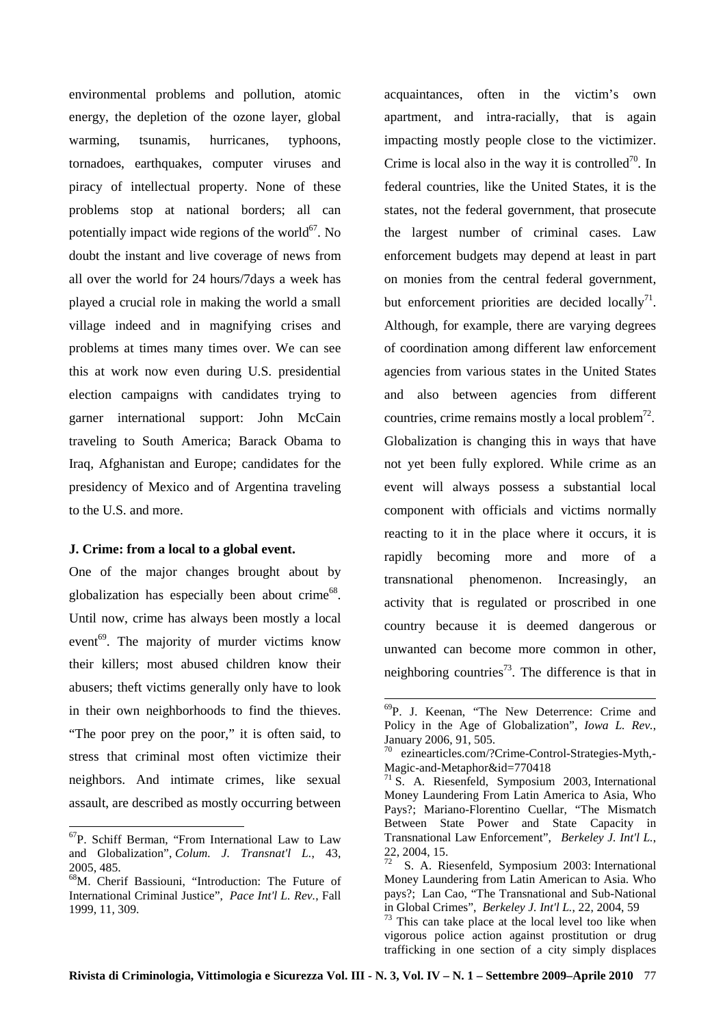environmental problems and pollution, atomic energy, the depletion of the ozone layer, global warming, tsunamis, hurricanes, typhoons, tornadoes, earthquakes, computer viruses and piracy of intellectual property. None of these problems stop at national borders; all can potentially impact wide regions of the world $^{67}$ . No doubt the instant and live coverage of news from all over the world for 24 hours/7days a week has played a crucial role in making the world a small village indeed and in magnifying crises and problems at times many times over. We can see this at work now even during U.S. presidential election campaigns with candidates trying to garner international support: John McCain traveling to South America; Barack Obama to Iraq, Afghanistan and Europe; candidates for the presidency of Mexico and of Argentina traveling to the U.S. and more.

### **J. Crime: from a local to a global event.**

One of the major changes brought about by globalization has especially been about crime<sup>68</sup>. Until now, crime has always been mostly a local event<sup>69</sup>. The majority of murder victims know their killers; most abused children know their abusers; theft victims generally only have to look in their own neighborhoods to find the thieves. "The poor prey on the poor," it is often said, to stress that criminal most often victimize their neighbors. And intimate crimes, like sexual assault, are described as mostly occurring between

 $\overline{a}$ 

acquaintances, often in the victim's own apartment, and intra-racially, that is again impacting mostly people close to the victimizer. Crime is local also in the way it is controlled<sup>70</sup>. In federal countries, like the United States, it is the states, not the federal government, that prosecute the largest number of criminal cases. Law enforcement budgets may depend at least in part on monies from the central federal government, but enforcement priorities are decided  $locally<sup>71</sup>$ . Although, for example, there are varying degrees of coordination among different law enforcement agencies from various states in the United States and also between agencies from different countries, crime remains mostly a local problem<sup>72</sup>. Globalization is changing this in ways that have not yet been fully explored. While crime as an event will always possess a substantial local component with officials and victims normally reacting to it in the place where it occurs, it is rapidly becoming more and more of a transnational phenomenon. Increasingly, an activity that is regulated or proscribed in one country because it is deemed dangerous or unwanted can become more common in other, neighboring countries<sup>73</sup>. The difference is that in

 ${}^{67}P$ . Schiff Berman, "From International Law to Law and Globalization", *Colum. J. Transnat'l L.*, 43, 2005, 485.

<sup>68</sup>M. Cherif Bassiouni, "Introduction: The Future of International Criminal Justice", *Pace Int'l L. Rev.*, Fall 1999, 11, 309.

<sup>69</sup>P. J. Keenan, "The New Deterrence: Crime and Policy in the Age of Globalization", *Iowa L. Rev.*, January 2006, 91, 505.

<sup>70</sup> ezinearticles.com/?Crime-Control-Strategies-Myth,- Magic-and-Metaphor&id=770418

 $71$  S. A. Riesenfeld, Symposium 2003, International Money Laundering From Latin America to Asia, Who Pays?; Mariano-Florentino Cuellar, "The Mismatch Between State Power and State Capacity in Transnational Law Enforcement", *Berkeley J. Int'l L.*, 22, 2004, 15.

S. A. Riesenfeld, Symposium 2003: International Money Laundering from Latin American to Asia. Who pays?; Lan Cao, "The Transnational and Sub-National in Global Crimes", *Berkeley J. Int'l L.*, 22, 2004, 59

 $73$  This can take place at the local level too like when vigorous police action against prostitution or drug trafficking in one section of a city simply displaces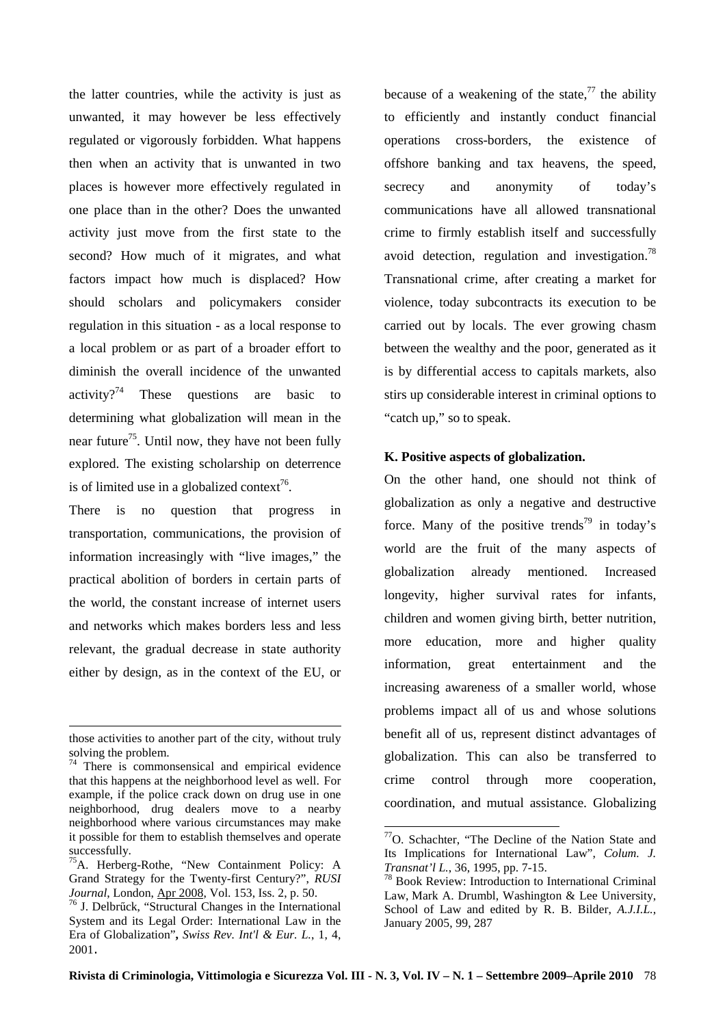the latter countries, while the activity is just as unwanted, it may however be less effectively regulated or vigorously forbidden. What happens then when an activity that is unwanted in two places is however more effectively regulated in one place than in the other? Does the unwanted activity just move from the first state to the second? How much of it migrates, and what factors impact how much is displaced? How should scholars and policymakers consider regulation in this situation - as a local response to a local problem or as part of a broader effort to diminish the overall incidence of the unwanted activity?<sup>74</sup> These questions are basic to determining what globalization will mean in the near future<sup>75</sup>. Until now, they have not been fully explored. The existing scholarship on deterrence is of limited use in a globalized context<sup>76</sup>.

There is no question that progress in transportation, communications, the provision of information increasingly with "live images," the practical abolition of borders in certain parts of the world, the constant increase of internet users and networks which makes borders less and less relevant, the gradual decrease in state authority either by design, as in the context of the EU, or

 $\overline{a}$ 

because of a weakening of the state, $^{77}$  the ability to efficiently and instantly conduct financial operations cross-borders, the existence of offshore banking and tax heavens, the speed, secrecy and anonymity of today's communications have all allowed transnational crime to firmly establish itself and successfully avoid detection, regulation and investigation.<sup>78</sup> Transnational crime, after creating a market for violence, today subcontracts its execution to be carried out by locals. The ever growing chasm between the wealthy and the poor, generated as it is by differential access to capitals markets, also stirs up considerable interest in criminal options to "catch up," so to speak.

## **K. Positive aspects of globalization.**

On the other hand, one should not think of globalization as only a negative and destructive force. Many of the positive trends<sup>79</sup> in today's world are the fruit of the many aspects of globalization already mentioned. Increased longevity, higher survival rates for infants, children and women giving birth, better nutrition, more education, more and higher quality information, great entertainment and the increasing awareness of a smaller world, whose problems impact all of us and whose solutions benefit all of us, represent distinct advantages of globalization. This can also be transferred to crime control through more cooperation, coordination, and mutual assistance. Globalizing

those activities to another part of the city, without truly solving the problem.

<sup>&</sup>lt;sup>74</sup> There is commonsensical and empirical evidence that this happens at the neighborhood level as well. For example, if the police crack down on drug use in one neighborhood, drug dealers move to a nearby neighborhood where various circumstances may make it possible for them to establish themselves and operate successfully.

<sup>75</sup>A. Herberg-Rothe, "New Containment Policy: A Grand Strategy for the Twenty-first Century?", *RUSI Journal*, London, Apr 2008, Vol. 153, Iss. 2, p. 50.

<sup>76</sup> J. Delbrűck, "Structural Changes in the International System and its Legal Order: International Law in the Era of Globalization"**,** *Swiss Rev. Int'l & Eur. L.*, 1, 4, 2001.

<sup>77</sup>O. Schachter, "The Decline of the Nation State and Its Implications for International Law", *Colum. J. Transnat'l L.*, 36, 1995, pp. 7-15.

<sup>78</sup> Book Review: Introduction to International Criminal Law, Mark A. Drumbl, Washington & Lee University, School of Law and edited by R. B. Bilder, *A.J.I.L.*, January 2005, 99, 287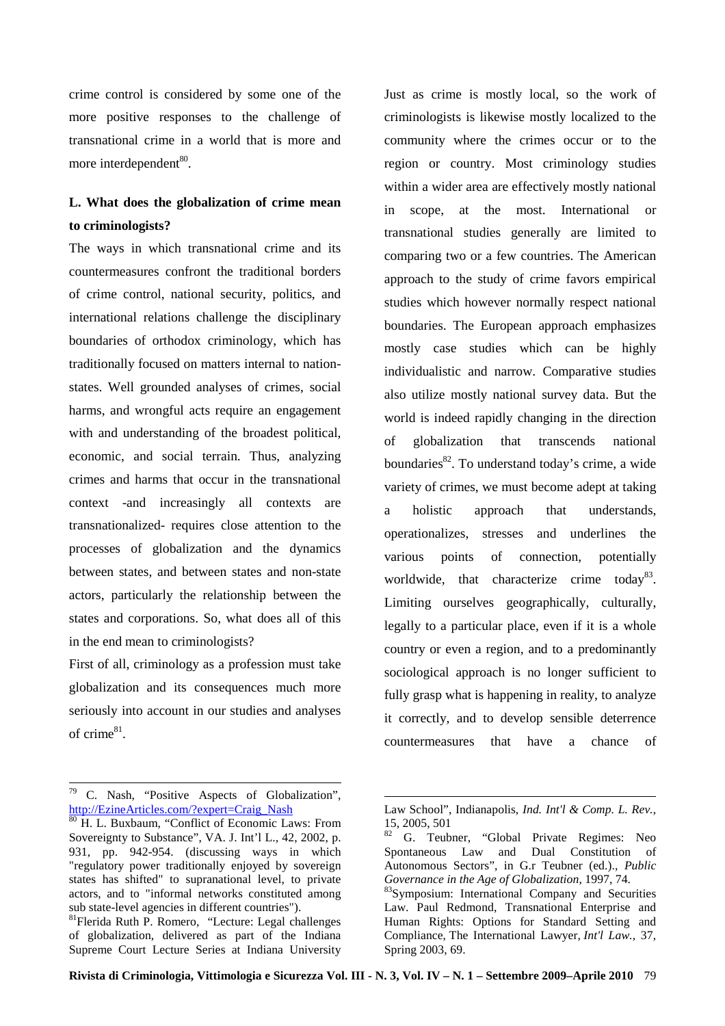crime control is considered by some one of the more positive responses to the challenge of transnational crime in a world that is more and more interdependent<sup>80</sup>.

## **L. What does the globalization of crime mean to criminologists?**

The ways in which transnational crime and its countermeasures confront the traditional borders of crime control, national security, politics, and international relations challenge the disciplinary boundaries of orthodox criminology, which has traditionally focused on matters internal to nationstates. Well grounded analyses of crimes, social harms, and wrongful acts require an engagement with and understanding of the broadest political, economic, and social terrain. Thus, analyzing crimes and harms that occur in the transnational context -and increasingly all contexts are transnationalized- requires close attention to the processes of globalization and the dynamics between states, and between states and non-state actors, particularly the relationship between the states and corporations. So, what does all of this in the end mean to criminologists?

First of all, criminology as a profession must take globalization and its consequences much more seriously into account in our studies and analyses of crime $^{81}$ .

Just as crime is mostly local, so the work of criminologists is likewise mostly localized to the community where the crimes occur or to the region or country. Most criminology studies within a wider area are effectively mostly national in scope, at the most. International or transnational studies generally are limited to comparing two or a few countries. The American approach to the study of crime favors empirical studies which however normally respect national boundaries. The European approach emphasizes mostly case studies which can be highly individualistic and narrow. Comparative studies also utilize mostly national survey data. But the world is indeed rapidly changing in the direction of globalization that transcends national boundaries<sup>82</sup>. To understand today's crime, a wide variety of crimes, we must become adept at taking a holistic approach that understands, operationalizes, stresses and underlines the various points of connection, potentially worldwide, that characterize crime today<sup>83</sup>. Limiting ourselves geographically, culturally, legally to a particular place, even if it is a whole country or even a region, and to a predominantly sociological approach is no longer sufficient to fully grasp what is happening in reality, to analyze it correctly, and to develop sensible deterrence countermeasures that have a chance of

 $\overline{a}$ 

<sup>&</sup>lt;sup>79</sup> C. Nash, "Positive Aspects of Globalization", http://EzineArticles.com/?expert=Craig\_Nash

<sup>&</sup>lt;sup>80</sup> H. L. Buxbaum, "Conflict of Economic Laws: From Sovereignty to Substance", VA. J. Int'l L., 42, 2002, p. 931, pp. 942-954. (discussing ways in which "regulatory power traditionally enjoyed by sovereign states has shifted" to supranational level, to private actors, and to "informal networks constituted among sub state-level agencies in different countries").

<sup>81</sup>Flerida Ruth P. Romero, "Lecture: Legal challenges of globalization, delivered as part of the Indiana Supreme Court Lecture Series at Indiana University

Law School", Indianapolis, *Ind. Int'l & Comp. L. Rev.*, 15, 2005, 501

<sup>82</sup> G. Teubner, "Global Private Regimes: Neo Spontaneous Law and Dual Constitution of Autonomous Sectors", in G.r Teubner (ed.)., *Public Governance in the Age of Globalization*, 1997, 74.

<sup>83</sup>Symposium: International Company and Securities Law. Paul Redmond, Transnational Enterprise and Human Rights: Options for Standard Setting and Compliance, The International Lawyer, *Int'l Law.*, 37, Spring 2003, 69.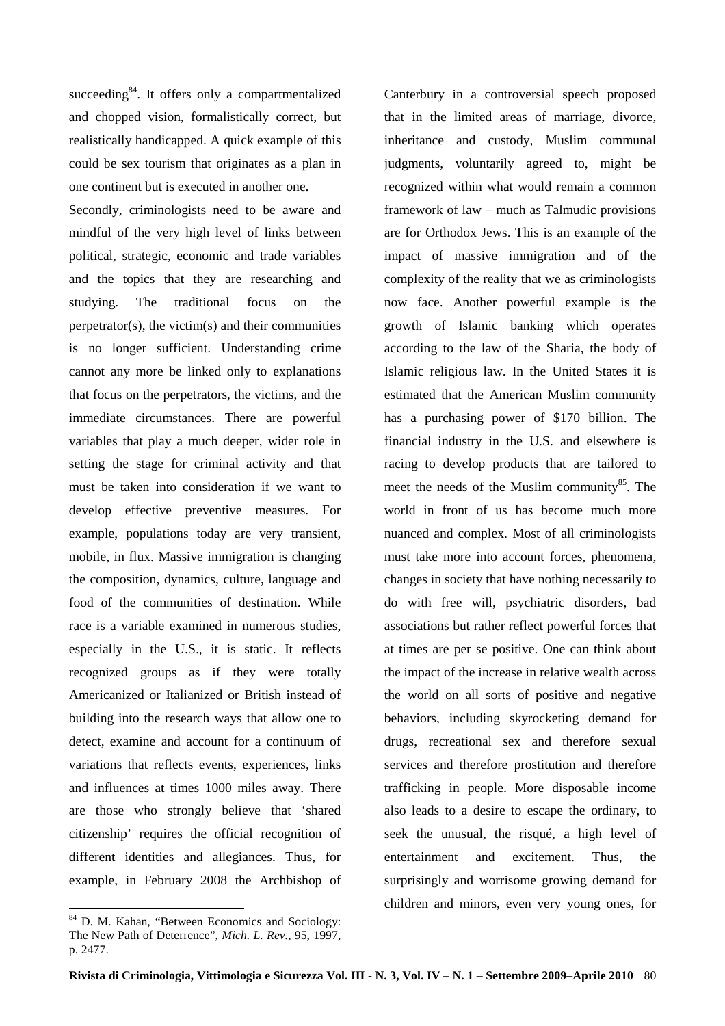succeeding $84$ . It offers only a compartmentalized and chopped vision, formalistically correct, but realistically handicapped. A quick example of this could be sex tourism that originates as a plan in one continent but is executed in another one.

Secondly, criminologists need to be aware and mindful of the very high level of links between political, strategic, economic and trade variables and the topics that they are researching and studying. The traditional focus on the perpetrator(s), the victim(s) and their communities is no longer sufficient. Understanding crime cannot any more be linked only to explanations that focus on the perpetrators, the victims, and the immediate circumstances. There are powerful variables that play a much deeper, wider role in setting the stage for criminal activity and that must be taken into consideration if we want to develop effective preventive measures. For example, populations today are very transient, mobile, in flux. Massive immigration is changing the composition, dynamics, culture, language and food of the communities of destination. While race is a variable examined in numerous studies, especially in the U.S., it is static. It reflects recognized groups as if they were totally Americanized or Italianized or British instead of building into the research ways that allow one to detect, examine and account for a continuum of variations that reflects events, experiences, links and influences at times 1000 miles away. There are those who strongly believe that 'shared citizenship' requires the official recognition of different identities and allegiances. Thus, for example, in February 2008 the Archbishop of

<sup>84</sup> D. M. Kahan, "Between Economics and Sociology: The New Path of Deterrence", *Mich. L. Rev.*, 95, 1997, p. 2477.

 $\overline{a}$ 

Canterbury in a controversial speech proposed that in the limited areas of marriage, divorce, inheritance and custody, Muslim communal judgments, voluntarily agreed to, might be recognized within what would remain a common framework of law – much as Talmudic provisions are for Orthodox Jews. This is an example of the impact of massive immigration and of the complexity of the reality that we as criminologists now face. Another powerful example is the growth of Islamic banking which operates according to the law of the Sharia, the body of Islamic religious law. In the United States it is estimated that the American Muslim community has a purchasing power of \$170 billion. The financial industry in the U.S. and elsewhere is racing to develop products that are tailored to meet the needs of the Muslim community $85$ . The world in front of us has become much more nuanced and complex. Most of all criminologists must take more into account forces, phenomena, changes in society that have nothing necessarily to do with free will, psychiatric disorders, bad associations but rather reflect powerful forces that at times are per se positive. One can think about the impact of the increase in relative wealth across the world on all sorts of positive and negative behaviors, including skyrocketing demand for drugs, recreational sex and therefore sexual services and therefore prostitution and therefore trafficking in people. More disposable income also leads to a desire to escape the ordinary, to seek the unusual, the risqué, a high level of entertainment and excitement. Thus, the surprisingly and worrisome growing demand for children and minors, even very young ones, for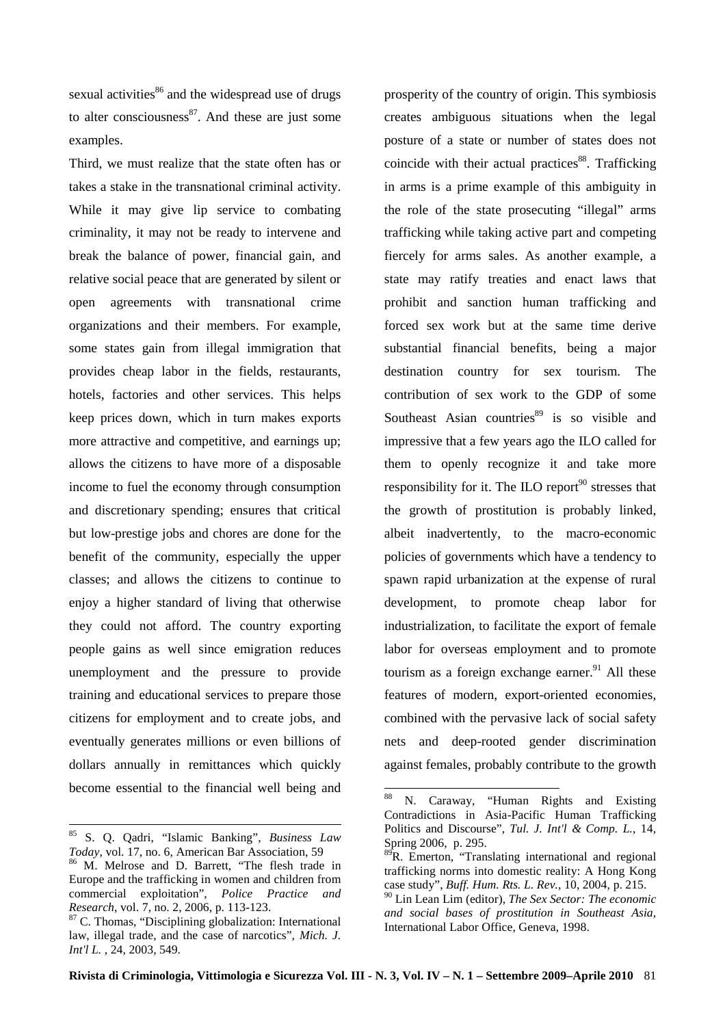sexual activities<sup>86</sup> and the widespread use of drugs to alter consciousness $^{87}$ . And these are just some examples.

Third, we must realize that the state often has or takes a stake in the transnational criminal activity. While it may give lip service to combating criminality, it may not be ready to intervene and break the balance of power, financial gain, and relative social peace that are generated by silent or open agreements with transnational crime organizations and their members. For example, some states gain from illegal immigration that provides cheap labor in the fields, restaurants, hotels, factories and other services. This helps keep prices down, which in turn makes exports more attractive and competitive, and earnings up; allows the citizens to have more of a disposable income to fuel the economy through consumption and discretionary spending; ensures that critical but low-prestige jobs and chores are done for the benefit of the community, especially the upper classes; and allows the citizens to continue to enjoy a higher standard of living that otherwise they could not afford. The country exporting people gains as well since emigration reduces unemployment and the pressure to provide training and educational services to prepare those citizens for employment and to create jobs, and eventually generates millions or even billions of dollars annually in remittances which quickly become essential to the financial well being and

 $\overline{a}$ 

prosperity of the country of origin. This symbiosis creates ambiguous situations when the legal posture of a state or number of states does not coincide with their actual practices $88$ . Trafficking in arms is a prime example of this ambiguity in the role of the state prosecuting "illegal" arms trafficking while taking active part and competing fiercely for arms sales. As another example, a state may ratify treaties and enact laws that prohibit and sanction human trafficking and forced sex work but at the same time derive substantial financial benefits, being a major destination country for sex tourism. The contribution of sex work to the GDP of some Southeast Asian countries<sup>89</sup> is so visible and impressive that a few years ago the ILO called for them to openly recognize it and take more responsibility for it. The ILO report<sup>90</sup> stresses that the growth of prostitution is probably linked, albeit inadvertently, to the macro-economic policies of governments which have a tendency to spawn rapid urbanization at the expense of rural development, to promote cheap labor for industrialization, to facilitate the export of female labor for overseas employment and to promote tourism as a foreign exchange earner.<sup>91</sup> All these features of modern, export-oriented economies, combined with the pervasive lack of social safety nets and deep-rooted gender discrimination against females, probably contribute to the growth

<sup>85</sup> S. Q. Qadri, "Islamic Banking", *Business Law Today*, vol. 17, no. 6, American Bar Association, 59

<sup>86</sup> M. Melrose and D. Barrett, "The flesh trade in Europe and the trafficking in women and children from commercial exploitation", *Police Practice and Research*, vol. 7, no. 2, 2006, p. 113-123.

<sup>87</sup> C. Thomas, "Disciplining globalization: International law, illegal trade, and the case of narcotics", *Mich. J. Int'l L.* , 24, 2003, 549.

<sup>88</sup> <sup>88</sup> N. Caraway, "Human Rights and Existing Contradictions in Asia-Pacific Human Trafficking Politics and Discourse", *Tul. J. Int'l & Comp. L.*, 14, Spring 2006, p. 295.

<sup>&</sup>lt;sup>89</sup>R. Emerton, "Translating international and regional trafficking norms into domestic reality: A Hong Kong case study", *Buff. Hum. Rts. L. Rev.*, 10, 2004, p. 215.

<sup>90</sup> Lin Lean Lim (editor), *The Sex Sector: The economic and social bases of prostitution in Southeast Asia,* International Labor Office, Geneva, 1998.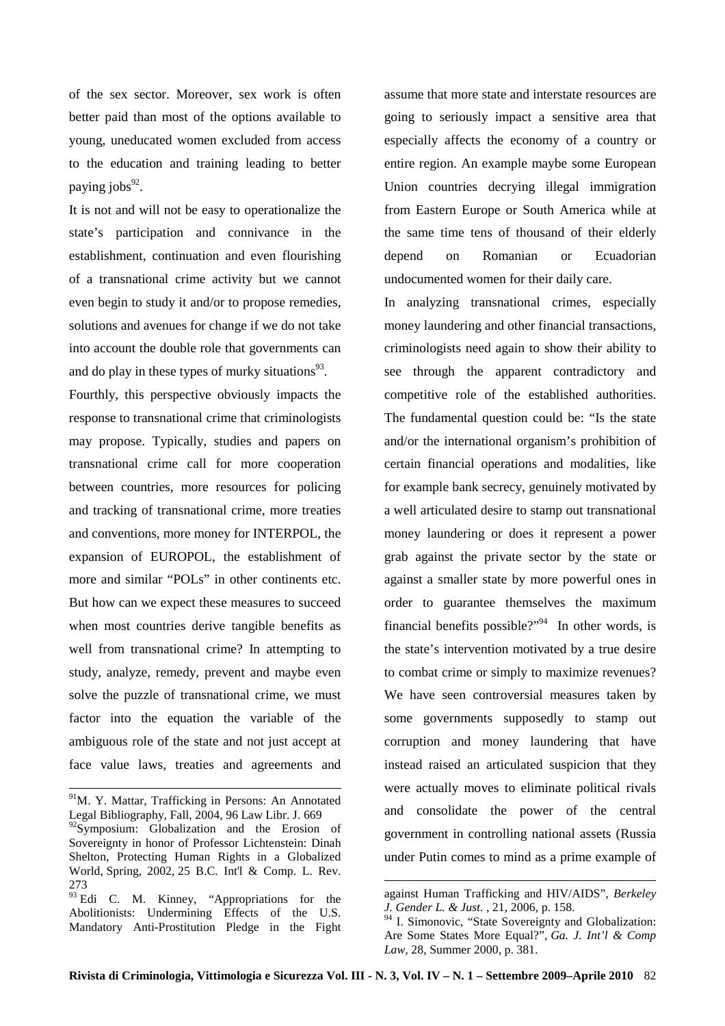of the sex sector. Moreover, sex work is often better paid than most of the options available to young, uneducated women excluded from access to the education and training leading to better paying jobs<sup>92</sup>.

It is not and will not be easy to operationalize the state's participation and connivance in the establishment, continuation and even flourishing of a transnational crime activity but we cannot even begin to study it and/or to propose remedies, solutions and avenues for change if we do not take into account the double role that governments can and do play in these types of murky situations $93$ .

Fourthly, this perspective obviously impacts the response to transnational crime that criminologists may propose. Typically, studies and papers on transnational crime call for more cooperation between countries, more resources for policing and tracking of transnational crime, more treaties and conventions, more money for INTERPOL, the expansion of EUROPOL, the establishment of more and similar "POLs" in other continents etc. But how can we expect these measures to succeed when most countries derive tangible benefits as well from transnational crime? In attempting to study, analyze, remedy, prevent and maybe even solve the puzzle of transnational crime, we must factor into the equation the variable of the ambiguous role of the state and not just accept at face value laws, treaties and agreements and

 $\overline{a}$ 

assume that more state and interstate resources are going to seriously impact a sensitive area that especially affects the economy of a country or entire region. An example maybe some European Union countries decrying illegal immigration from Eastern Europe or South America while at the same time tens of thousand of their elderly depend on Romanian or Ecuadorian undocumented women for their daily care.

In analyzing transnational crimes, especially money laundering and other financial transactions, criminologists need again to show their ability to see through the apparent contradictory and competitive role of the established authorities. The fundamental question could be: "Is the state and/or the international organism's prohibition of certain financial operations and modalities, like for example bank secrecy, genuinely motivated by a well articulated desire to stamp out transnational money laundering or does it represent a power grab against the private sector by the state or against a smaller state by more powerful ones in order to guarantee themselves the maximum financial benefits possible?" $94$  In other words, is the state's intervention motivated by a true desire to combat crime or simply to maximize revenues? We have seen controversial measures taken by some governments supposedly to stamp out corruption and money laundering that have instead raised an articulated suspicion that they were actually moves to eliminate political rivals and consolidate the power of the central government in controlling national assets (Russia under Putin comes to mind as a prime example of

<sup>&</sup>lt;sup>91</sup>M. Y. Mattar, Trafficking in Persons: An Annotated Legal Bibliography, Fall, 2004, 96 Law Libr. J. 669

<sup>&</sup>lt;sup>92</sup>Symposium: Globalization and the Erosion of Sovereignty in honor of Professor Lichtenstein: Dinah Shelton, Protecting Human Rights in a Globalized World, Spring, 2002, 25 B.C. Int'l & Comp. L. Rev. 273

<sup>&</sup>lt;sup>93</sup> Edi C. M. Kinney, "Appropriations for the Abolitionists: Undermining Effects of the U.S. Mandatory Anti-Prostitution Pledge in the Fight

against Human Trafficking and HIV/AIDS", *Berkeley J. Gender L. & Just.* , 21, 2006, p. 158.

<sup>&</sup>lt;sup>94</sup> I. Simonovic, "State Sovereignty and Globalization: Are Some States More Equal?", *Ga. J. Int'l & Comp Law*, 28, Summer 2000, p. 381.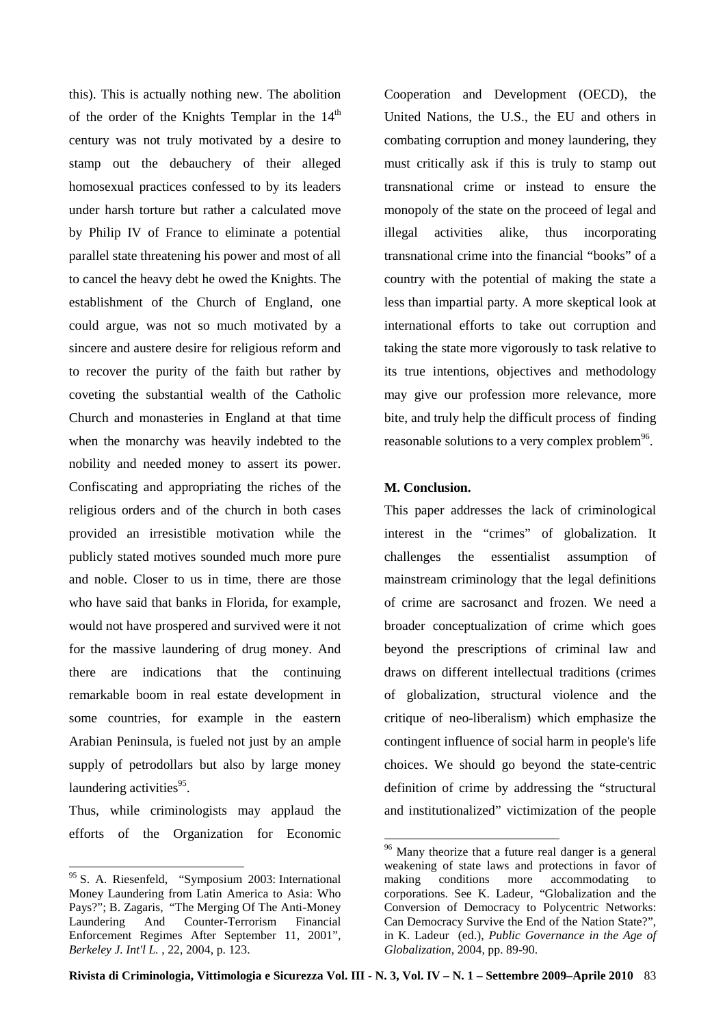this). This is actually nothing new. The abolition of the order of the Knights Templar in the  $14<sup>th</sup>$ century was not truly motivated by a desire to stamp out the debauchery of their alleged homosexual practices confessed to by its leaders under harsh torture but rather a calculated move by Philip IV of France to eliminate a potential parallel state threatening his power and most of all to cancel the heavy debt he owed the Knights. The establishment of the Church of England, one could argue, was not so much motivated by a sincere and austere desire for religious reform and to recover the purity of the faith but rather by coveting the substantial wealth of the Catholic Church and monasteries in England at that time when the monarchy was heavily indebted to the nobility and needed money to assert its power. Confiscating and appropriating the riches of the religious orders and of the church in both cases provided an irresistible motivation while the publicly stated motives sounded much more pure and noble. Closer to us in time, there are those who have said that banks in Florida, for example, would not have prospered and survived were it not for the massive laundering of drug money. And there are indications that the continuing remarkable boom in real estate development in some countries, for example in the eastern Arabian Peninsula, is fueled not just by an ample supply of petrodollars but also by large money laundering activities<sup>95</sup>.

Thus, while criminologists may applaud the efforts of the Organization for Economic Cooperation and Development (OECD), the United Nations, the U.S., the EU and others in combating corruption and money laundering, they must critically ask if this is truly to stamp out transnational crime or instead to ensure the monopoly of the state on the proceed of legal and illegal activities alike, thus incorporating transnational crime into the financial "books" of a country with the potential of making the state a less than impartial party. A more skeptical look at international efforts to take out corruption and taking the state more vigorously to task relative to its true intentions, objectives and methodology may give our profession more relevance, more bite, and truly help the difficult process of finding reasonable solutions to a very complex problem $96$ .

## **M. Conclusion.**

This paper addresses the lack of criminological interest in the "crimes" of globalization. It challenges the essentialist assumption of mainstream criminology that the legal definitions of crime are sacrosanct and frozen. We need a broader conceptualization of crime which goes beyond the prescriptions of criminal law and draws on different intellectual traditions (crimes of globalization, structural violence and the critique of neo-liberalism) which emphasize the contingent influence of social harm in people's life choices. We should go beyond the state-centric definition of crime by addressing the "structural and institutionalized" victimization of the people

 $\overline{a}$ <sup>95</sup> S. A. Riesenfeld, "Symposium 2003: International Money Laundering from Latin America to Asia: Who Pays?"; B. Zagaris, "The Merging Of The Anti-Money Laundering And Counter-Terrorism Financial Enforcement Regimes After September 11, 2001", *Berkeley J. Int'l L.* , 22, 2004, p. 123.

<sup>&</sup>lt;sup>96</sup> Many theorize that a future real danger is a general weakening of state laws and protections in favor of making conditions more accommodating to corporations. See K. Ladeur, "Globalization and the Conversion of Democracy to Polycentric Networks: Can Democracy Survive the End of the Nation State?", in K. Ladeur (ed.), *Public Governance in the Age of Globalization*, 2004, pp. 89-90.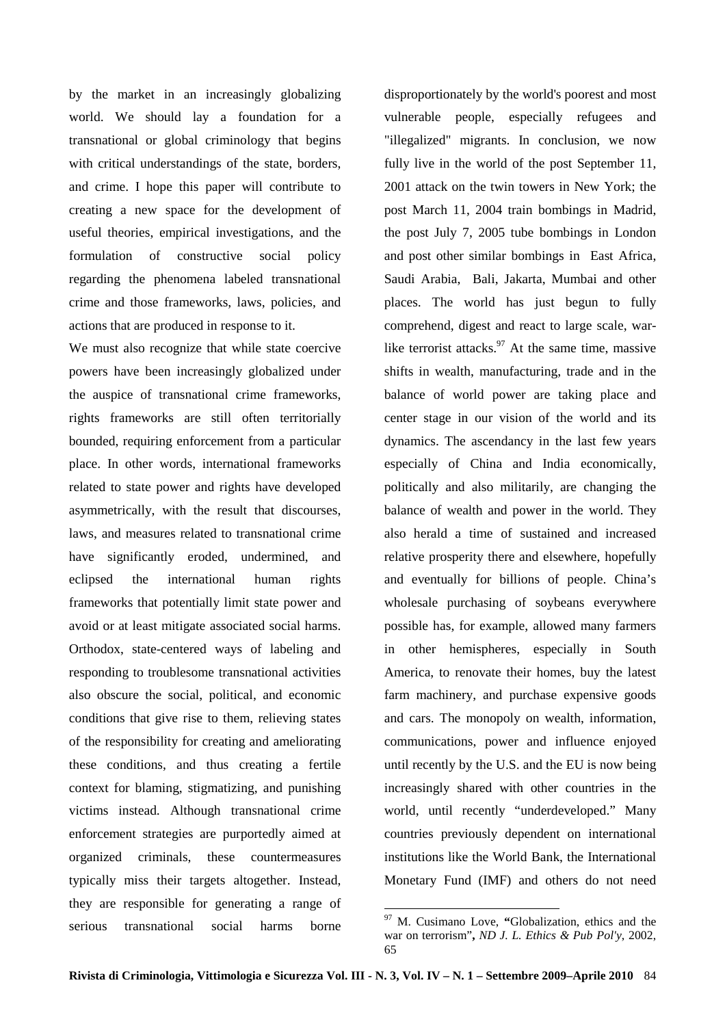by the market in an increasingly globalizing world. We should lay a foundation for a transnational or global criminology that begins with critical understandings of the state, borders, and crime. I hope this paper will contribute to creating a new space for the development of useful theories, empirical investigations, and the formulation of constructive social policy regarding the phenomena labeled transnational crime and those frameworks, laws, policies, and actions that are produced in response to it.

We must also recognize that while state coercive powers have been increasingly globalized under the auspice of transnational crime frameworks, rights frameworks are still often territorially bounded, requiring enforcement from a particular place. In other words, international frameworks related to state power and rights have developed asymmetrically, with the result that discourses, laws, and measures related to transnational crime have significantly eroded, undermined, and eclipsed the international human rights frameworks that potentially limit state power and avoid or at least mitigate associated social harms. Orthodox, state-centered ways of labeling and responding to troublesome transnational activities also obscure the social, political, and economic conditions that give rise to them, relieving states of the responsibility for creating and ameliorating these conditions, and thus creating a fertile context for blaming, stigmatizing, and punishing victims instead. Although transnational crime enforcement strategies are purportedly aimed at organized criminals, these countermeasures typically miss their targets altogether. Instead, they are responsible for generating a range of serious transnational social harms borne

disproportionately by the world's poorest and most vulnerable people, especially refugees and "illegalized" migrants. In conclusion, we now fully live in the world of the post September 11, 2001 attack on the twin towers in New York; the post March 11, 2004 train bombings in Madrid, the post July 7, 2005 tube bombings in London and post other similar bombings in East Africa, Saudi Arabia, Bali, Jakarta, Mumbai and other places. The world has just begun to fully comprehend, digest and react to large scale, warlike terrorist attacks. $97$  At the same time, massive shifts in wealth, manufacturing, trade and in the balance of world power are taking place and center stage in our vision of the world and its dynamics. The ascendancy in the last few years especially of China and India economically, politically and also militarily, are changing the balance of wealth and power in the world. They also herald a time of sustained and increased relative prosperity there and elsewhere, hopefully and eventually for billions of people. China's wholesale purchasing of soybeans everywhere possible has, for example, allowed many farmers in other hemispheres, especially in South America, to renovate their homes, buy the latest farm machinery, and purchase expensive goods and cars. The monopoly on wealth, information, communications, power and influence enjoyed until recently by the U.S. and the EU is now being increasingly shared with other countries in the world, until recently "underdeveloped." Many countries previously dependent on international institutions like the World Bank, the International Monetary Fund (IMF) and others do not need

<sup>97</sup> M. Cusimano Love, **"**Globalization, ethics and the war on terrorism"**,** *ND J. L. Ethics & Pub Pol'y*, 2002, 65